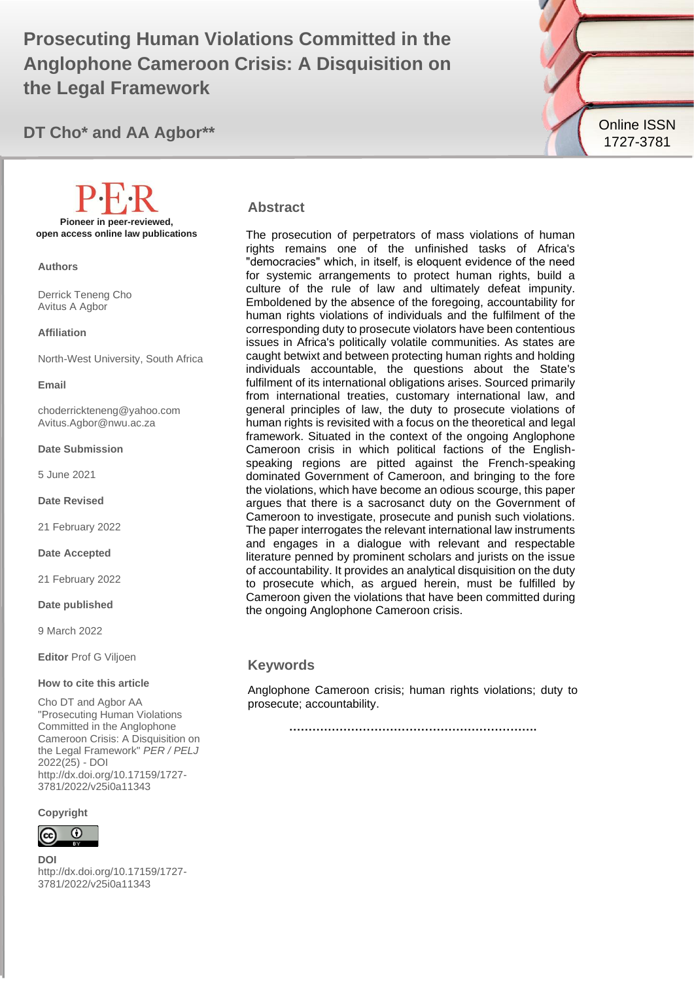**Prosecuting Human Violations Committed in the Anglophone Cameroon Crisis: A Disquisition on the Legal Framework**



**DT Cho\* and AA Agbor\*\***

### **Abstract**

The prosecution of perpetrators of mass violations of human rights remains one of the unfinished tasks of Africa's "democracies" which, in itself, is eloquent evidence of the need for systemic arrangements to protect human rights, build a culture of the rule of law and ultimately defeat impunity. Emboldened by the absence of the foregoing, accountability for human rights violations of individuals and the fulfilment of the corresponding duty to prosecute violators have been contentious issues in Africa's politically volatile communities. As states are caught betwixt and between protecting human rights and holding individuals accountable, the questions about the State's fulfilment of its international obligations arises. Sourced primarily from international treaties, customary international law, and general principles of law, the duty to prosecute violations of human rights is revisited with a focus on the theoretical and legal framework. Situated in the context of the ongoing Anglophone Cameroon crisis in which political factions of the Englishspeaking regions are pitted against the French-speaking dominated Government of Cameroon, and bringing to the fore the violations, which have become an odious scourge, this paper argues that there is a sacrosanct duty on the Government of Cameroon to investigate, prosecute and punish such violations. The paper interrogates the relevant international law instruments and engages in a dialogue with relevant and respectable literature penned by prominent scholars and jurists on the issue of accountability. It provides an analytical disquisition on the duty to prosecute which, as argued herein, must be fulfilled by Cameroon given the violations that have been committed during the ongoing Anglophone Cameroon crisis.

#### **Keywords**

Anglophone Cameroon crisis; human rights violations; duty to prosecute; accountability.

**……………………………………………………….**

**Pioneer in peer-reviewed, open access online law publications**

**Authors**

Derrick Teneng Cho Avitus A Agbor

#### **Affiliation**

North-West University, South Africa

**Email**

choderrickteneng@yahoo.com Avitus.Agbor@nwu.ac.za

#### **Date Submission**

5 June 2021

**Date Revised**

21 February 2022

#### **Date Accepted**

21 February 2022

#### **Date published**

9 March 2022

**Editor** Prof G Viljoen

#### **How to cite this article**

Cho DT and Agbor AA "Prosecuting Human Violations Committed in the Anglophone Cameroon Crisis: A Disquisition on the Legal Framework" *PER / PELJ* 2022(25) - DOI http://dx.doi.org/10.17159/1727- 3781/2022/v25i0a11343

**Copyright**



**DOI**  http://dx.doi.org/10.17159/1727- 3781/2022/v25i0a11343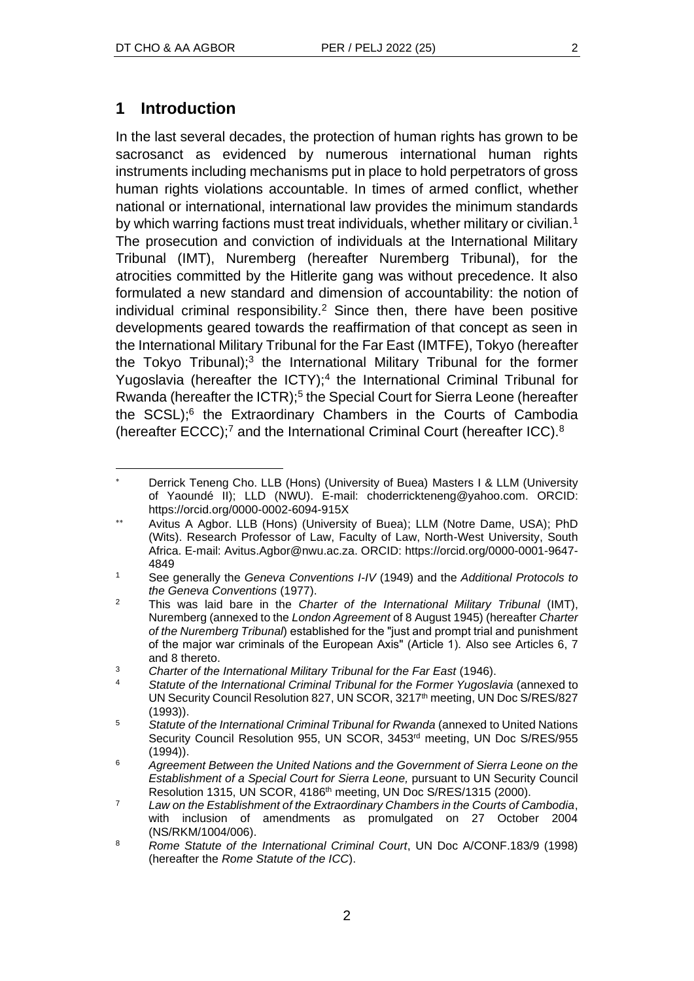# **1 Introduction**

In the last several decades, the protection of human rights has grown to be sacrosanct as evidenced by numerous international human rights instruments including mechanisms put in place to hold perpetrators of gross human rights violations accountable. In times of armed conflict, whether national or international, international law provides the minimum standards by which warring factions must treat individuals, whether military or civilian.<sup>1</sup> The prosecution and conviction of individuals at the International Military Tribunal (IMT), Nuremberg (hereafter Nuremberg Tribunal), for the atrocities committed by the Hitlerite gang was without precedence. It also formulated a new standard and dimension of accountability: the notion of individual criminal responsibility.<sup>2</sup> Since then, there have been positive developments geared towards the reaffirmation of that concept as seen in the International Military Tribunal for the Far East (IMTFE), Tokyo (hereafter the Tokyo Tribunal);<sup>3</sup> the International Military Tribunal for the former Yugoslavia (hereafter the ICTY);<sup>4</sup> the International Criminal Tribunal for Rwanda (hereafter the ICTR);<sup>5</sup> the Special Court for Sierra Leone (hereafter the SCSL);<sup>6</sup> the Extraordinary Chambers in the Courts of Cambodia (hereafter ECCC);<sup>7</sup> and the International Criminal Court (hereafter ICC).<sup>8</sup>

Derrick Teneng Cho. LLB (Hons) (University of Buea) Masters I & LLM (University of Yaoundé II); LLD (NWU). E-mail: choderrickteneng@yahoo.com. ORCID: https://orcid.org/0000-0002-6094-915X

Avitus A Agbor. LLB (Hons) (University of Buea); LLM (Notre Dame, USA); PhD (Wits). Research Professor of Law, Faculty of Law, North-West University, South Africa. E-mail: Avitus.Agbor@nwu.ac.za. ORCID: https://orcid.org/0000-0001-9647- 4849

<sup>1</sup> See generally the *Geneva Conventions I-IV* (1949) and the *Additional Protocols to the Geneva Conventions* (1977).

<sup>2</sup> This was laid bare in the *Charter of the International Military Tribunal* (IMT), Nuremberg (annexed to the *London Agreement* of 8 August 1945) (hereafter *Charter of the Nuremberg Tribunal*) established for the "just and prompt trial and punishment of the major war criminals of the European Axis" (Article 1). Also see Articles 6, 7 and 8 thereto.

<sup>3</sup> *Charter of the International Military Tribunal for the Far East* (1946).

<sup>4</sup> *Statute of the International Criminal Tribunal for the Former Yugoslavia* (annexed to UN Security Council Resolution 827, UN SCOR, 3217<sup>th</sup> meeting, UN Doc S/RES/827 (1993)).

<sup>5</sup> *Statute of the International Criminal Tribunal for Rwanda* (annexed to United Nations Security Council Resolution 955, UN SCOR, 3453rd meeting, UN Doc S/RES/955 (1994)).

<sup>6</sup> *Agreement Between the United Nations and the Government of Sierra Leone on the Establishment of a Special Court for Sierra Leone,* pursuant to UN Security Council Resolution 1315, UN SCOR, 4186<sup>th</sup> meeting, UN Doc S/RES/1315 (2000).

<sup>7</sup> *Law on the Establishment of the Extraordinary Chambers in the Courts of Cambodia*, with inclusion of amendments as promulgated on 27 October 2004 (NS/RKM/1004/006).

<sup>8</sup> *Rome Statute of the International Criminal Court*, UN Doc A/CONF.183/9 (1998) (hereafter the *Rome Statute of the ICC*).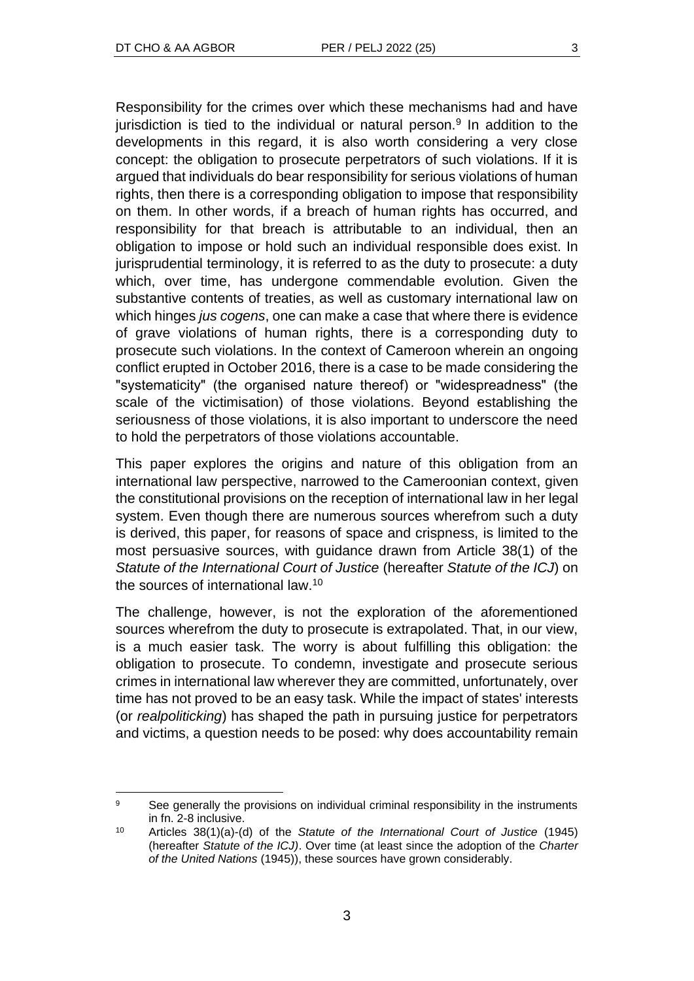Responsibility for the crimes over which these mechanisms had and have jurisdiction is tied to the individual or natural person.<sup>9</sup> In addition to the developments in this regard, it is also worth considering a very close concept: the obligation to prosecute perpetrators of such violations. If it is argued that individuals do bear responsibility for serious violations of human rights, then there is a corresponding obligation to impose that responsibility on them. In other words, if a breach of human rights has occurred, and responsibility for that breach is attributable to an individual, then an obligation to impose or hold such an individual responsible does exist. In jurisprudential terminology, it is referred to as the duty to prosecute: a duty which, over time, has undergone commendable evolution. Given the substantive contents of treaties, as well as customary international law on which hinges *jus cogens*, one can make a case that where there is evidence of grave violations of human rights, there is a corresponding duty to prosecute such violations. In the context of Cameroon wherein an ongoing conflict erupted in October 2016, there is a case to be made considering the "systematicity" (the organised nature thereof) or "widespreadness" (the scale of the victimisation) of those violations. Beyond establishing the seriousness of those violations, it is also important to underscore the need to hold the perpetrators of those violations accountable.

This paper explores the origins and nature of this obligation from an international law perspective, narrowed to the Cameroonian context, given the constitutional provisions on the reception of international law in her legal system. Even though there are numerous sources wherefrom such a duty is derived, this paper, for reasons of space and crispness, is limited to the most persuasive sources, with guidance drawn from Article 38(1) of the *Statute of the International Court of Justice* (hereafter *Statute of the ICJ*) on the sources of international law.<sup>10</sup>

The challenge, however, is not the exploration of the aforementioned sources wherefrom the duty to prosecute is extrapolated. That, in our view, is a much easier task. The worry is about fulfilling this obligation: the obligation to prosecute. To condemn, investigate and prosecute serious crimes in international law wherever they are committed, unfortunately, over time has not proved to be an easy task. While the impact of states' interests (or *realpoliticking*) has shaped the path in pursuing justice for perpetrators and victims, a question needs to be posed: why does accountability remain

<sup>&</sup>lt;sup>9</sup> See generally the provisions on individual criminal responsibility in the instruments in fn. 2-8 inclusive.

<sup>10</sup> Articles 38(1)(a)-(d) of the *Statute of the International Court of Justice* (1945) (hereafter *Statute of the ICJ)*. Over time (at least since the adoption of the *Charter of the United Nations* (1945)), these sources have grown considerably.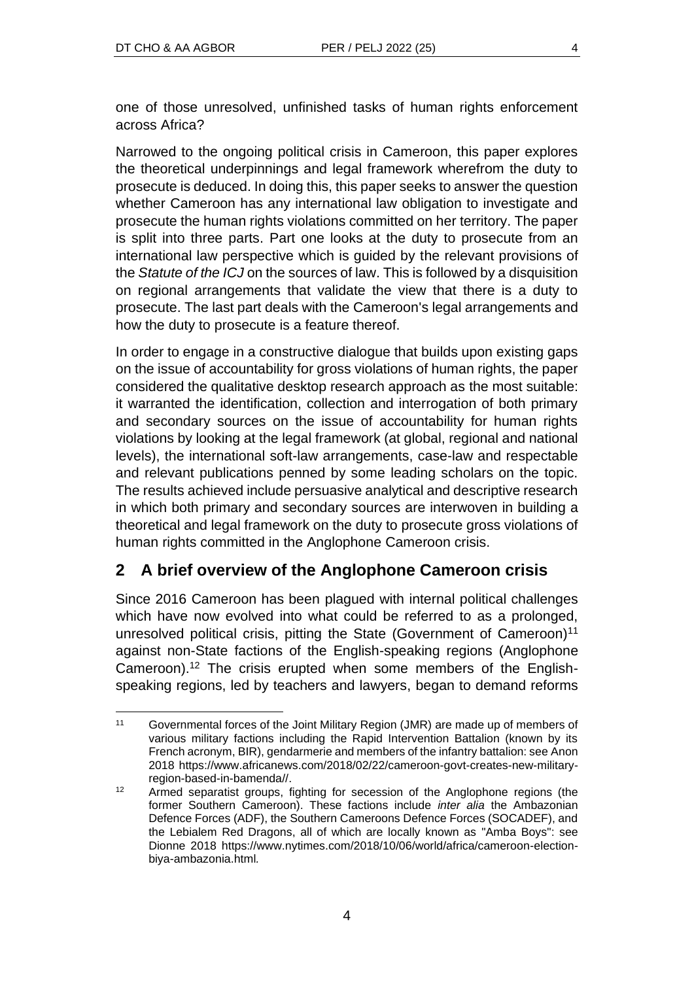one of those unresolved, unfinished tasks of human rights enforcement across Africa?

Narrowed to the ongoing political crisis in Cameroon, this paper explores the theoretical underpinnings and legal framework wherefrom the duty to prosecute is deduced. In doing this, this paper seeks to answer the question whether Cameroon has any international law obligation to investigate and prosecute the human rights violations committed on her territory. The paper is split into three parts. Part one looks at the duty to prosecute from an international law perspective which is guided by the relevant provisions of the *Statute of the ICJ* on the sources of law. This is followed by a disquisition on regional arrangements that validate the view that there is a duty to prosecute. The last part deals with the Cameroon's legal arrangements and how the duty to prosecute is a feature thereof.

In order to engage in a constructive dialogue that builds upon existing gaps on the issue of accountability for gross violations of human rights, the paper considered the qualitative desktop research approach as the most suitable: it warranted the identification, collection and interrogation of both primary and secondary sources on the issue of accountability for human rights violations by looking at the legal framework (at global, regional and national levels), the international soft-law arrangements, case-law and respectable and relevant publications penned by some leading scholars on the topic. The results achieved include persuasive analytical and descriptive research in which both primary and secondary sources are interwoven in building a theoretical and legal framework on the duty to prosecute gross violations of human rights committed in the Anglophone Cameroon crisis.

# **2 A brief overview of the Anglophone Cameroon crisis**

Since 2016 Cameroon has been plagued with internal political challenges which have now evolved into what could be referred to as a prolonged, unresolved political crisis, pitting the State (Government of Cameroon)<sup>11</sup> against non-State factions of the English-speaking regions (Anglophone Cameroon).<sup>12</sup> The crisis erupted when some members of the Englishspeaking regions, led by teachers and lawyers, began to demand reforms

<sup>11</sup> Governmental forces of the Joint Military Region (JMR) are made up of members of various military factions including the Rapid Intervention Battalion (known by its French acronym, BIR), gendarmerie and members of the infantry battalion: see Anon 2018 https://www.africanews.com/2018/02/22/cameroon-govt-creates-new-militaryregion-based-in-bamenda//.

<sup>&</sup>lt;sup>12</sup> Armed separatist groups, fighting for secession of the Anglophone regions (the former Southern Cameroon). These factions include *inter alia* the Ambazonian Defence Forces (ADF), the Southern Cameroons Defence Forces (SOCADEF), and the Lebialem Red Dragons, all of which are locally known as "Amba Boys": see Dionne 2018 https://www.nytimes.com/2018/10/06/world/africa/cameroon-electionbiya-ambazonia.html*.*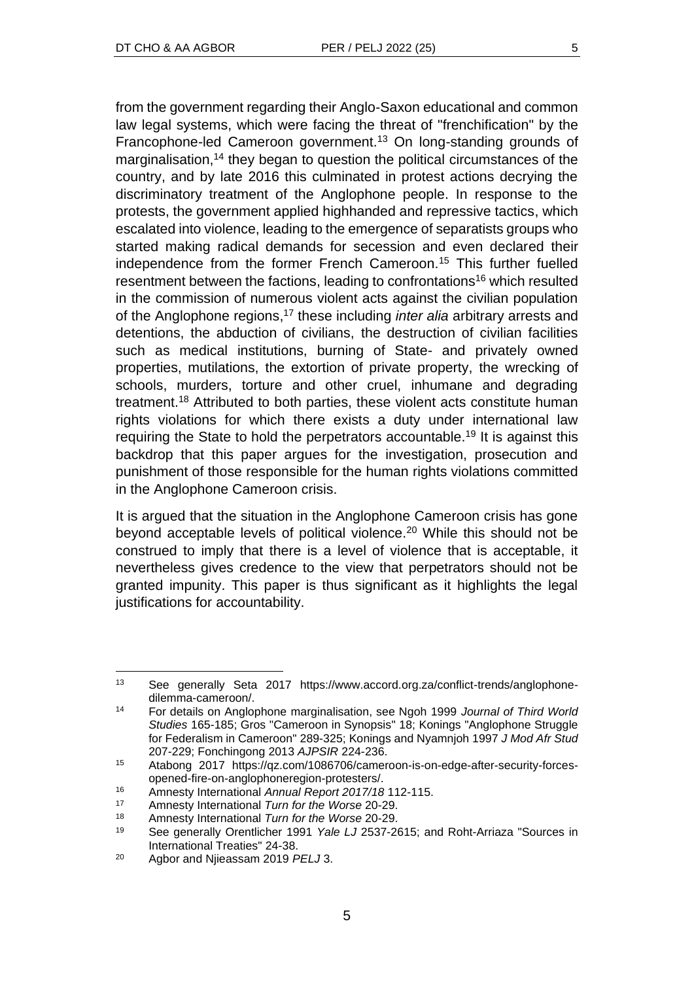from the government regarding their Anglo-Saxon educational and common law legal systems, which were facing the threat of "frenchification" by the Francophone-led Cameroon government.<sup>13</sup> On long-standing grounds of marginalisation,<sup>14</sup> they began to question the political circumstances of the country, and by late 2016 this culminated in protest actions decrying the discriminatory treatment of the Anglophone people. In response to the protests, the government applied highhanded and repressive tactics, which escalated into violence, leading to the emergence of separatists groups who started making radical demands for secession and even declared their independence from the former French Cameroon.<sup>15</sup> This further fuelled resentment between the factions, leading to confrontations<sup>16</sup> which resulted in the commission of numerous violent acts against the civilian population of the Anglophone regions,<sup>17</sup> these including *inter alia* arbitrary arrests and detentions, the abduction of civilians, the destruction of civilian facilities such as medical institutions, burning of State- and privately owned properties, mutilations, the extortion of private property, the wrecking of schools, murders, torture and other cruel, inhumane and degrading treatment.<sup>18</sup> Attributed to both parties, these violent acts constitute human rights violations for which there exists a duty under international law requiring the State to hold the perpetrators accountable.<sup>19</sup> It is against this backdrop that this paper argues for the investigation, prosecution and punishment of those responsible for the human rights violations committed in the Anglophone Cameroon crisis.

It is argued that the situation in the Anglophone Cameroon crisis has gone beyond acceptable levels of political violence.<sup>20</sup> While this should not be construed to imply that there is a level of violence that is acceptable, it nevertheless gives credence to the view that perpetrators should not be granted impunity. This paper is thus significant as it highlights the legal justifications for accountability.

<sup>16</sup> Amnesty International *Annual Report 2017/18* 112-115.

<sup>13</sup> See generally Seta 2017 https://www.accord.org.za/conflict-trends/anglophonedilemma-cameroon/.

<sup>14</sup> For details on Anglophone marginalisation, see Ngoh 1999 *Journal of Third World Studies* 165-185; Gros "Cameroon in Synopsis" 18; Konings "Anglophone Struggle for Federalism in Cameroon" 289-325; Konings and Nyamnjoh 1997 *J Mod Afr Stud* 207-229; Fonchingong 2013 *AJPSIR* 224-236.

<sup>15</sup> Atabong 2017 https://qz.com/1086706/cameroon-is-on-edge-after-security-forcesopened-fire-on-anglophoneregion-protesters/.

<sup>17</sup> Amnesty International *Turn for the Worse* 20-29.

<sup>18</sup> Amnesty International *Turn for the Worse* 20-29.

<sup>19</sup> See generally Orentlicher 1991 *Yale LJ* 2537-2615; and Roht-Arriaza "Sources in International Treaties" 24-38.

<sup>20</sup> Agbor and Njieassam 2019 *PELJ* 3.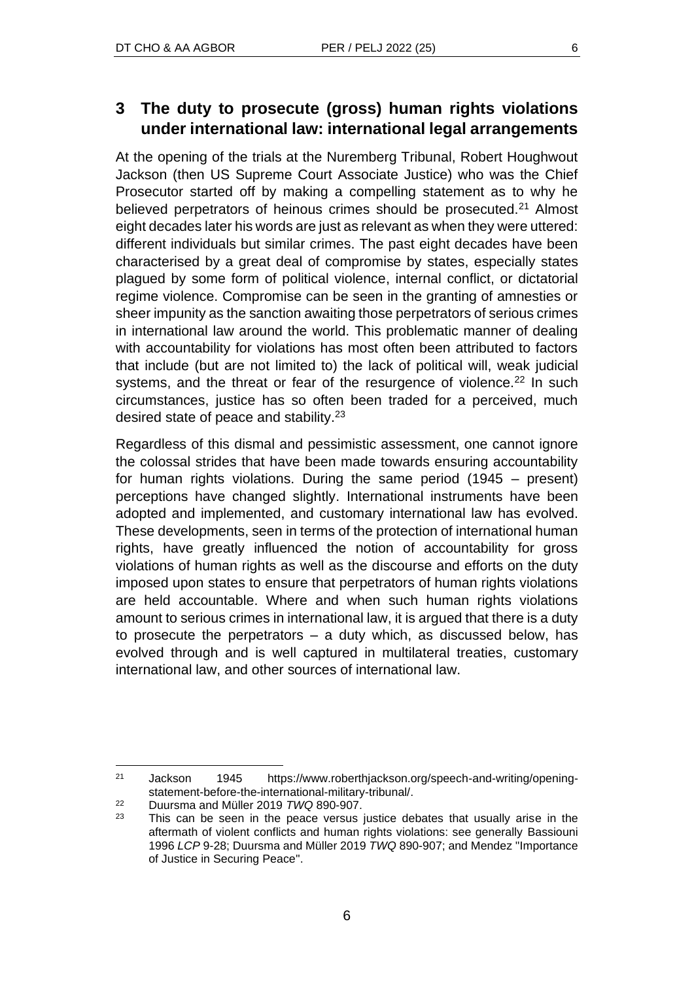# **3 The duty to prosecute (gross) human rights violations under international law: international legal arrangements**

At the opening of the trials at the Nuremberg Tribunal, Robert Houghwout Jackson (then US Supreme Court Associate Justice) who was the Chief Prosecutor started off by making a compelling statement as to why he believed perpetrators of heinous crimes should be prosecuted.<sup>21</sup> Almost eight decades later his words are just as relevant as when they were uttered: different individuals but similar crimes. The past eight decades have been characterised by a great deal of compromise by states, especially states plagued by some form of political violence, internal conflict, or dictatorial regime violence. Compromise can be seen in the granting of amnesties or sheer impunity as the sanction awaiting those perpetrators of serious crimes in international law around the world. This problematic manner of dealing with accountability for violations has most often been attributed to factors that include (but are not limited to) the lack of political will, weak judicial systems, and the threat or fear of the resurgence of violence.<sup>22</sup> In such circumstances, justice has so often been traded for a perceived, much desired state of peace and stability.<sup>23</sup>

Regardless of this dismal and pessimistic assessment, one cannot ignore the colossal strides that have been made towards ensuring accountability for human rights violations. During the same period (1945 – present) perceptions have changed slightly. International instruments have been adopted and implemented, and customary international law has evolved. These developments, seen in terms of the protection of international human rights, have greatly influenced the notion of accountability for gross violations of human rights as well as the discourse and efforts on the duty imposed upon states to ensure that perpetrators of human rights violations are held accountable. Where and when such human rights violations amount to serious crimes in international law, it is argued that there is a duty to prosecute the perpetrators – a duty which, as discussed below, has evolved through and is well captured in multilateral treaties, customary international law, and other sources of international law.

<sup>21</sup> Jackson 1945 https://www.roberthjackson.org/speech-and-writing/openingstatement-before-the-international-military-tribunal/.

<sup>22</sup> Duursma and Müller 2019 *TWQ* 890-907.

 $23$  This can be seen in the peace versus justice debates that usually arise in the aftermath of violent conflicts and human rights violations: see generally Bassiouni 1996 *LCP* 9-28; Duursma and Müller 2019 *TWQ* 890-907; and Mendez ''Importance of Justice in Securing Peace''.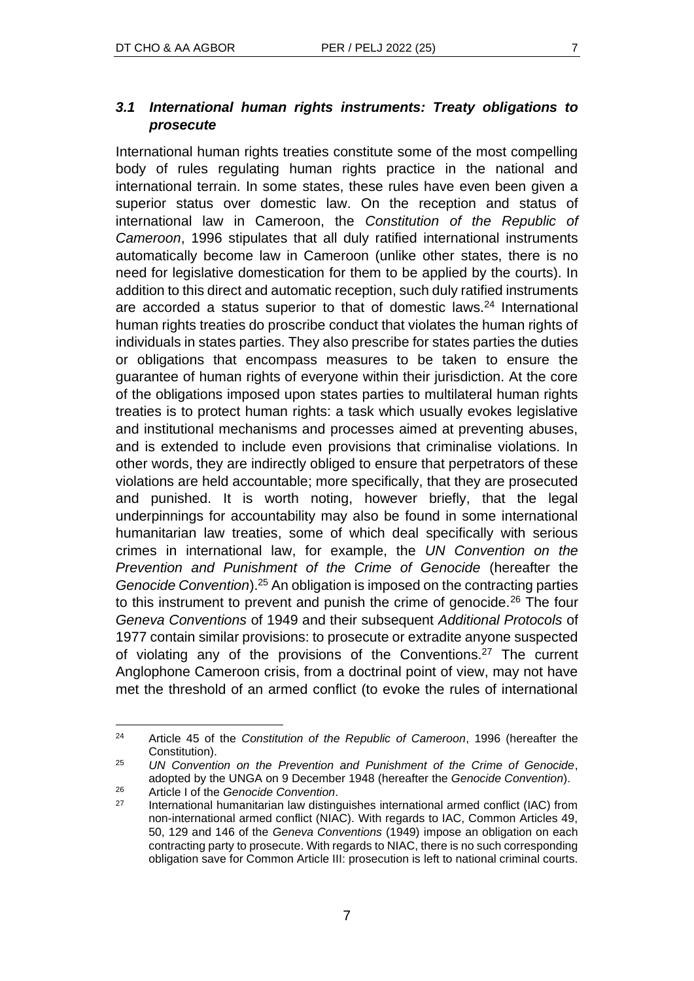International human rights treaties constitute some of the most compelling body of rules regulating human rights practice in the national and international terrain. In some states, these rules have even been given a superior status over domestic law. On the reception and status of international law in Cameroon, the *Constitution of the Republic of Cameroon*, 1996 stipulates that all duly ratified international instruments automatically become law in Cameroon (unlike other states, there is no need for legislative domestication for them to be applied by the courts). In addition to this direct and automatic reception, such duly ratified instruments are accorded a status superior to that of domestic laws.<sup>24</sup> International human rights treaties do proscribe conduct that violates the human rights of individuals in states parties. They also prescribe for states parties the duties or obligations that encompass measures to be taken to ensure the guarantee of human rights of everyone within their jurisdiction. At the core of the obligations imposed upon states parties to multilateral human rights treaties is to protect human rights: a task which usually evokes legislative and institutional mechanisms and processes aimed at preventing abuses, and is extended to include even provisions that criminalise violations. In other words, they are indirectly obliged to ensure that perpetrators of these violations are held accountable; more specifically, that they are prosecuted and punished. It is worth noting, however briefly, that the legal underpinnings for accountability may also be found in some international humanitarian law treaties, some of which deal specifically with serious crimes in international law, for example, the *UN Convention on the Prevention and Punishment of the Crime of Genocide* (hereafter the *Genocide Convention*).<sup>25</sup> An obligation is imposed on the contracting parties to this instrument to prevent and punish the crime of genocide.<sup>26</sup> The four *Geneva Conventions* of 1949 and their subsequent *Additional Protocols* of 1977 contain similar provisions: to prosecute or extradite anyone suspected of violating any of the provisions of the Conventions.<sup>27</sup> The current Anglophone Cameroon crisis, from a doctrinal point of view, may not have met the threshold of an armed conflict (to evoke the rules of international

<sup>24</sup> Article 45 of the *Constitution of the Republic of Cameroon*, 1996 (hereafter the Constitution).

<sup>25</sup> *UN Convention on the Prevention and Punishment of the Crime of Genocide*, adopted by the UNGA on 9 December 1948 (hereafter the *Genocide Convention*). <sup>26</sup> Article I of the *Genocide Convention*.

 $27$  International humanitarian law distinguishes international armed conflict (IAC) from non-international armed conflict (NIAC). With regards to IAC, Common Articles 49, 50, 129 and 146 of the *Geneva Conventions* (1949) impose an obligation on each contracting party to prosecute. With regards to NIAC, there is no such corresponding obligation save for Common Article III: prosecution is left to national criminal courts.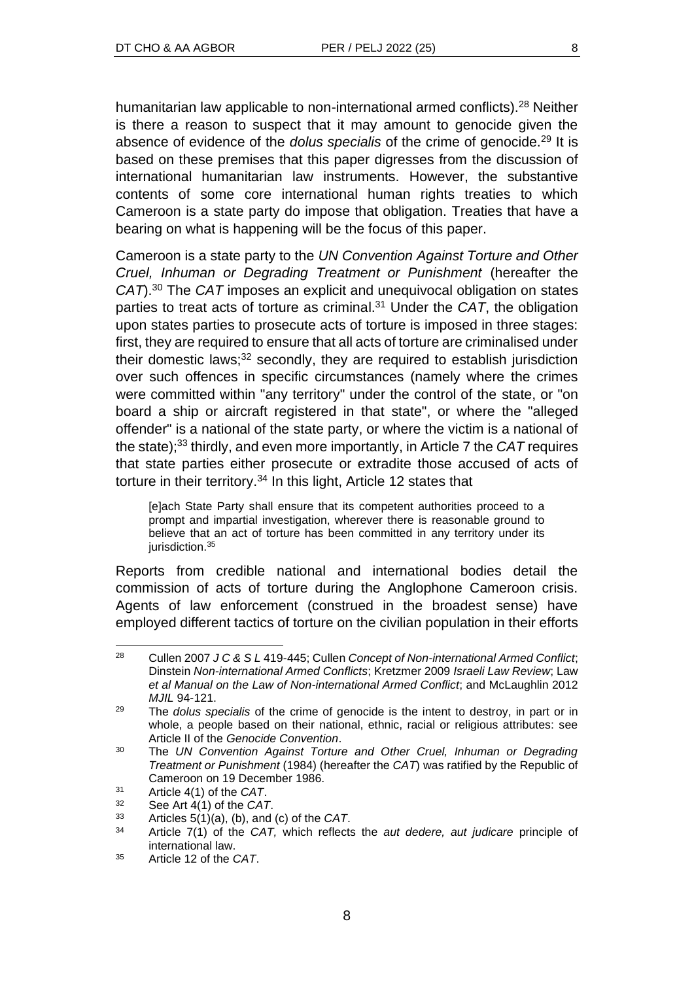humanitarian law applicable to non-international armed conflicts).<sup>28</sup> Neither is there a reason to suspect that it may amount to genocide given the absence of evidence of the *dolus specialis* of the crime of genocide.<sup>29</sup> It is based on these premises that this paper digresses from the discussion of international humanitarian law instruments. However, the substantive contents of some core international human rights treaties to which Cameroon is a state party do impose that obligation. Treaties that have a bearing on what is happening will be the focus of this paper.

Cameroon is a state party to the *UN Convention Against Torture and Other Cruel, Inhuman or Degrading Treatment or Punishment* (hereafter the *CAT*).<sup>30</sup> The *CAT* imposes an explicit and unequivocal obligation on states parties to treat acts of torture as criminal.<sup>31</sup> Under the *CAT*, the obligation upon states parties to prosecute acts of torture is imposed in three stages: first, they are required to ensure that all acts of torture are criminalised under their domestic laws; $32$  secondly, they are required to establish jurisdiction over such offences in specific circumstances (namely where the crimes were committed within "any territory" under the control of the state, or "on board a ship or aircraft registered in that state", or where the "alleged offender" is a national of the state party, or where the victim is a national of the state);<sup>33</sup> thirdly, and even more importantly, in Article 7 the *CAT* requires that state parties either prosecute or extradite those accused of acts of torture in their territory.<sup>34</sup> In this light, Article 12 states that

[e]ach State Party shall ensure that its competent authorities proceed to a prompt and impartial investigation, wherever there is reasonable ground to believe that an act of torture has been committed in any territory under its jurisdiction.<sup>35</sup>

Reports from credible national and international bodies detail the commission of acts of torture during the Anglophone Cameroon crisis. Agents of law enforcement (construed in the broadest sense) have employed different tactics of torture on the civilian population in their efforts

<sup>28</sup> Cullen 2007 *J C & S L* 419-445; Cullen *Concept of Non-international Armed Conflict*; Dinstein *Non-international Armed Conflicts*; Kretzmer 2009 *Israeli Law Review*; Law *et al Manual on the Law of Non-international Armed Conflict*; and McLaughlin 2012 *MJIL* 94-121.

<sup>29</sup> The *dolus specialis* of the crime of genocide is the intent to destroy, in part or in whole, a people based on their national, ethnic, racial or religious attributes: see Article II of the *Genocide Convention*.

<sup>30</sup> The *UN Convention Against Torture and Other Cruel, Inhuman or Degrading Treatment or Punishment* (1984) (hereafter the *CAT*) was ratified by the Republic of Cameroon on 19 December 1986.

<sup>31</sup> Article 4(1) of the *CAT*.

<sup>32</sup> See Art 4(1) of the *CAT*.

<sup>33</sup> Articles 5(1)(a), (b), and (c) of the *CAT*.

<sup>34</sup> Article 7(1) of the *CAT,* which reflects the *aut dedere, aut judicare* principle of international law.

<sup>35</sup> Article 12 of the *CAT*.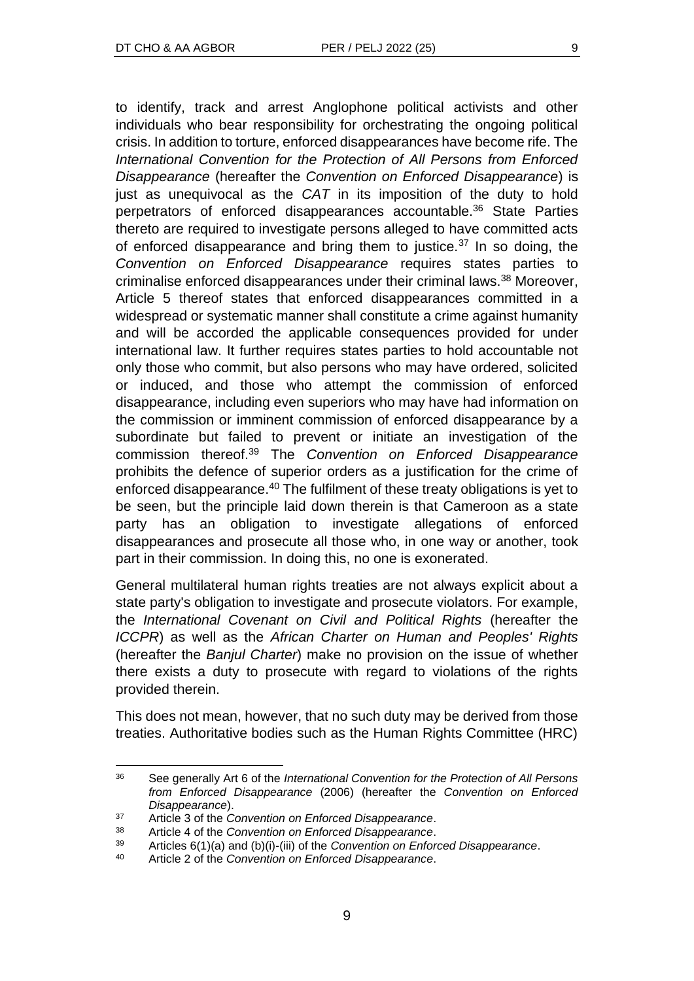to identify, track and arrest Anglophone political activists and other individuals who bear responsibility for orchestrating the ongoing political crisis. In addition to torture, enforced disappearances have become rife. The *International Convention for the Protection of All Persons from Enforced Disappearance* (hereafter the *Convention on Enforced Disappearance*) is just as unequivocal as the *CAT* in its imposition of the duty to hold perpetrators of enforced disappearances accountable.<sup>36</sup> State Parties thereto are required to investigate persons alleged to have committed acts of enforced disappearance and bring them to justice.<sup>37</sup> In so doing, the *Convention on Enforced Disappearance* requires states parties to criminalise enforced disappearances under their criminal laws.<sup>38</sup> Moreover, Article 5 thereof states that enforced disappearances committed in a widespread or systematic manner shall constitute a crime against humanity and will be accorded the applicable consequences provided for under international law. It further requires states parties to hold accountable not only those who commit, but also persons who may have ordered, solicited or induced, and those who attempt the commission of enforced disappearance, including even superiors who may have had information on the commission or imminent commission of enforced disappearance by a subordinate but failed to prevent or initiate an investigation of the commission thereof.<sup>39</sup> The *Convention on Enforced Disappearance* prohibits the defence of superior orders as a justification for the crime of enforced disappearance.<sup>40</sup> The fulfilment of these treaty obligations is yet to be seen, but the principle laid down therein is that Cameroon as a state party has an obligation to investigate allegations of enforced disappearances and prosecute all those who, in one way or another, took part in their commission. In doing this, no one is exonerated.

General multilateral human rights treaties are not always explicit about a state party's obligation to investigate and prosecute violators. For example, the *International Covenant on Civil and Political Rights* (hereafter the *ICCPR*) as well as the *African Charter on Human and Peoples' Rights* (hereafter the *Banjul Charter*) make no provision on the issue of whether there exists a duty to prosecute with regard to violations of the rights provided therein.

This does not mean, however, that no such duty may be derived from those treaties. Authoritative bodies such as the Human Rights Committee (HRC)

<sup>36</sup> See generally Art 6 of the *International Convention for the Protection of All Persons from Enforced Disappearance* (2006) (hereafter the *Convention on Enforced Disappearance*).

<sup>37</sup> Article 3 of the *Convention on Enforced Disappearance*.

<sup>38</sup> Article 4 of the *Convention on Enforced Disappearance*.

<sup>39</sup> Articles 6(1)(a) and (b)(i)-(iii) of the *Convention on Enforced Disappearance*.

Article 2 of the *Convention on Enforced Disappearance*.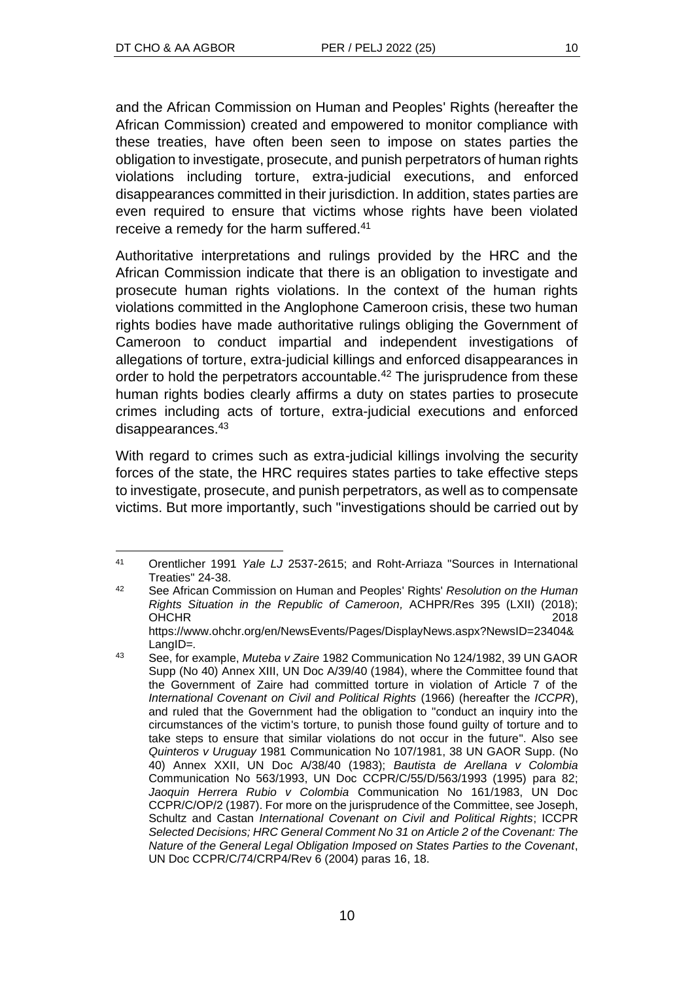and the African Commission on Human and Peoples' Rights (hereafter the African Commission) created and empowered to monitor compliance with these treaties, have often been seen to impose on states parties the obligation to investigate, prosecute, and punish perpetrators of human rights violations including torture, extra-judicial executions, and enforced disappearances committed in their jurisdiction. In addition, states parties are even required to ensure that victims whose rights have been violated receive a remedy for the harm suffered.<sup>41</sup>

Authoritative interpretations and rulings provided by the HRC and the African Commission indicate that there is an obligation to investigate and prosecute human rights violations. In the context of the human rights violations committed in the Anglophone Cameroon crisis, these two human rights bodies have made authoritative rulings obliging the Government of Cameroon to conduct impartial and independent investigations of allegations of torture, extra-judicial killings and enforced disappearances in order to hold the perpetrators accountable.<sup>42</sup> The jurisprudence from these human rights bodies clearly affirms a duty on states parties to prosecute crimes including acts of torture, extra-judicial executions and enforced disappearances.<sup>43</sup>

With regard to crimes such as extra-judicial killings involving the security forces of the state, the HRC requires states parties to take effective steps to investigate, prosecute, and punish perpetrators, as well as to compensate victims. But more importantly, such "investigations should be carried out by

<sup>41</sup> Orentlicher 1991 *Yale LJ* 2537-2615; and Roht-Arriaza "Sources in International Treaties" 24-38.

<sup>42</sup> See African Commission on Human and Peoples' Rights' *Resolution on the Human Rights Situation in the Republic of Cameroon,* ACHPR/Res 395 (LXII) (2018); OHCHR 2018 https://www.ohchr.org/en/NewsEvents/Pages/DisplayNews.aspx?NewsID=23404&

LangID=*.* <sup>43</sup> See, for example, *Muteba v Zaire* 1982 Communication No 124/1982, 39 UN GAOR Supp (No 40) Annex XIII, UN Doc A/39/40 (1984), where the Committee found that the Government of Zaire had committed torture in violation of Article 7 of the *International Covenant on Civil and Political Rights* (1966) (hereafter the *ICCPR*), and ruled that the Government had the obligation to "conduct an inquiry into the circumstances of the victim's torture, to punish those found guilty of torture and to take steps to ensure that similar violations do not occur in the future". Also see *Quinteros v Uruguay* 1981 Communication No 107/1981, 38 UN GAOR Supp. (No 40) Annex XXII, UN Doc A/38/40 (1983); *Bautista de Arellana v Colombia*  Communication No 563/1993, UN Doc CCPR/C/55/D/563/1993 (1995) para 82; *Jaoquin Herrera Rubio v Colombia* Communication No 161/1983, UN Doc CCPR/C/OP/2 (1987). For more on the jurisprudence of the Committee, see Joseph, Schultz and Castan *International Covenant on Civil and Political Rights*; ICCPR *Selected Decisions; HRC General Comment No 31 on Article 2 of the Covenant: The Nature of the General Legal Obligation Imposed on States Parties to the Covenant*, UN Doc CCPR/C/74/CRP4/Rev 6 (2004) paras 16, 18.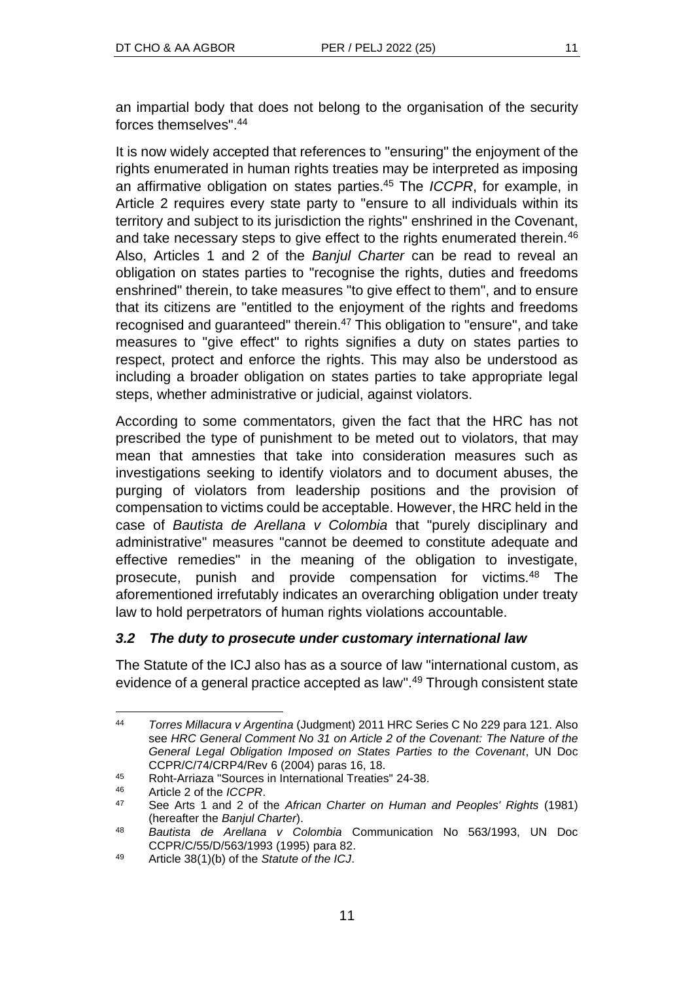an impartial body that does not belong to the organisation of the security forces themselves". 44

It is now widely accepted that references to "ensuring" the enjoyment of the rights enumerated in human rights treaties may be interpreted as imposing an affirmative obligation on states parties.<sup>45</sup> The *ICCPR*, for example, in Article 2 requires every state party to "ensure to all individuals within its territory and subject to its jurisdiction the rights" enshrined in the Covenant, and take necessary steps to give effect to the rights enumerated therein.<sup>46</sup> Also, Articles 1 and 2 of the *Banjul Charter* can be read to reveal an obligation on states parties to "recognise the rights, duties and freedoms enshrined" therein, to take measures "to give effect to them", and to ensure that its citizens are "entitled to the enjoyment of the rights and freedoms recognised and guaranteed" therein.<sup>47</sup> This obligation to "ensure", and take measures to "give effect" to rights signifies a duty on states parties to respect, protect and enforce the rights. This may also be understood as including a broader obligation on states parties to take appropriate legal steps, whether administrative or judicial, against violators.

According to some commentators, given the fact that the HRC has not prescribed the type of punishment to be meted out to violators, that may mean that amnesties that take into consideration measures such as investigations seeking to identify violators and to document abuses, the purging of violators from leadership positions and the provision of compensation to victims could be acceptable. However, the HRC held in the case of *Bautista de Arellana v Colombia* that "purely disciplinary and administrative" measures "cannot be deemed to constitute adequate and effective remedies" in the meaning of the obligation to investigate, prosecute, punish and provide compensation for victims.<sup>48</sup> The aforementioned irrefutably indicates an overarching obligation under treaty law to hold perpetrators of human rights violations accountable.

## *3.2 The duty to prosecute under customary international law*

The Statute of the ICJ also has as a source of law "international custom, as evidence of a general practice accepted as law".<sup>49</sup> Through consistent state

<sup>44</sup> *Torres Millacura v Argentina* (Judgment) 2011 HRC Series C No 229 para 121. Also see *HRC General Comment No 31 on Article 2 of the Covenant: The Nature of the General Legal Obligation Imposed on States Parties to the Covenant*, UN Doc CCPR/C/74/CRP4/Rev 6 (2004) paras 16, 18.

<sup>45</sup> Roht-Arriaza "Sources in International Treaties" 24-38.

<sup>46</sup> Article 2 of the *ICCPR*.

<sup>47</sup> See Arts 1 and 2 of the *African Charter on Human and Peoples' Rights* (1981) (hereafter the *Banjul Charter*).

<sup>48</sup> *Bautista de Arellana v Colombia* Communication No 563/1993, UN Doc CCPR/C/55/D/563/1993 (1995) para 82.

<sup>49</sup> Article 38(1)(b) of the *Statute of the ICJ*.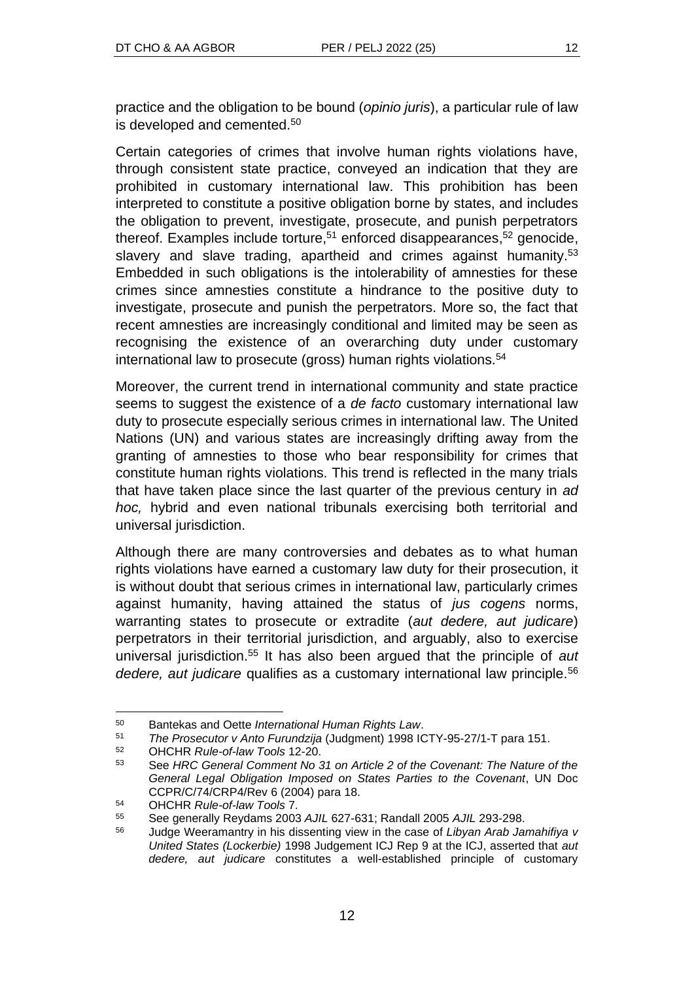practice and the obligation to be bound (*opinio juris*), a particular rule of law is developed and cemented.<sup>50</sup>

Certain categories of crimes that involve human rights violations have, through consistent state practice, conveyed an indication that they are prohibited in customary international law. This prohibition has been interpreted to constitute a positive obligation borne by states, and includes the obligation to prevent, investigate, prosecute, and punish perpetrators thereof. Examples include torture,<sup>51</sup> enforced disappearances,<sup>52</sup> genocide, slavery and slave trading, apartheid and crimes against humanity.<sup>53</sup> Embedded in such obligations is the intolerability of amnesties for these crimes since amnesties constitute a hindrance to the positive duty to investigate, prosecute and punish the perpetrators. More so, the fact that recent amnesties are increasingly conditional and limited may be seen as recognising the existence of an overarching duty under customary international law to prosecute (gross) human rights violations.<sup>54</sup>

Moreover, the current trend in international community and state practice seems to suggest the existence of a *de facto* customary international law duty to prosecute especially serious crimes in international law. The United Nations (UN) and various states are increasingly drifting away from the granting of amnesties to those who bear responsibility for crimes that constitute human rights violations. This trend is reflected in the many trials that have taken place since the last quarter of the previous century in *ad hoc,* hybrid and even national tribunals exercising both territorial and universal jurisdiction.

Although there are many controversies and debates as to what human rights violations have earned a customary law duty for their prosecution, it is without doubt that serious crimes in international law, particularly crimes against humanity, having attained the status of *jus cogens* norms, warranting states to prosecute or extradite (*aut dedere, aut judicare*) perpetrators in their territorial jurisdiction, and arguably, also to exercise universal jurisdiction.<sup>55</sup> It has also been argued that the principle of *aut dedere, aut judicare* qualifies as a customary international law principle.<sup>56</sup>

<sup>50</sup> Bantekas and Oette *International Human Rights Law*.

<sup>51</sup> *The Prosecutor v Anto Furundzija* (Judgment) 1998 ICTY-95-27/1-T para 151.

<sup>52</sup> OHCHR *Rule-of-law Tools* 12-20.

<sup>53</sup> See *HRC General Comment No 31 on Article 2 of the Covenant: The Nature of the General Legal Obligation Imposed on States Parties to the Covenant*, UN Doc CCPR/C/74/CRP4/Rev 6 (2004) para 18.

<sup>54</sup> OHCHR *Rule-of-law Tools* 7.

<sup>55</sup> See generally Reydams 2003 *AJIL* 627-631; Randall 2005 *AJIL* 293-298.

<sup>56</sup> Judge Weeramantry in his dissenting view in the case of *Libyan Arab Jamahifiya v United States (Lockerbie)* 1998 Judgement ICJ Rep 9 at the ICJ, asserted that *aut dedere, aut judicare* constitutes a well-established principle of customary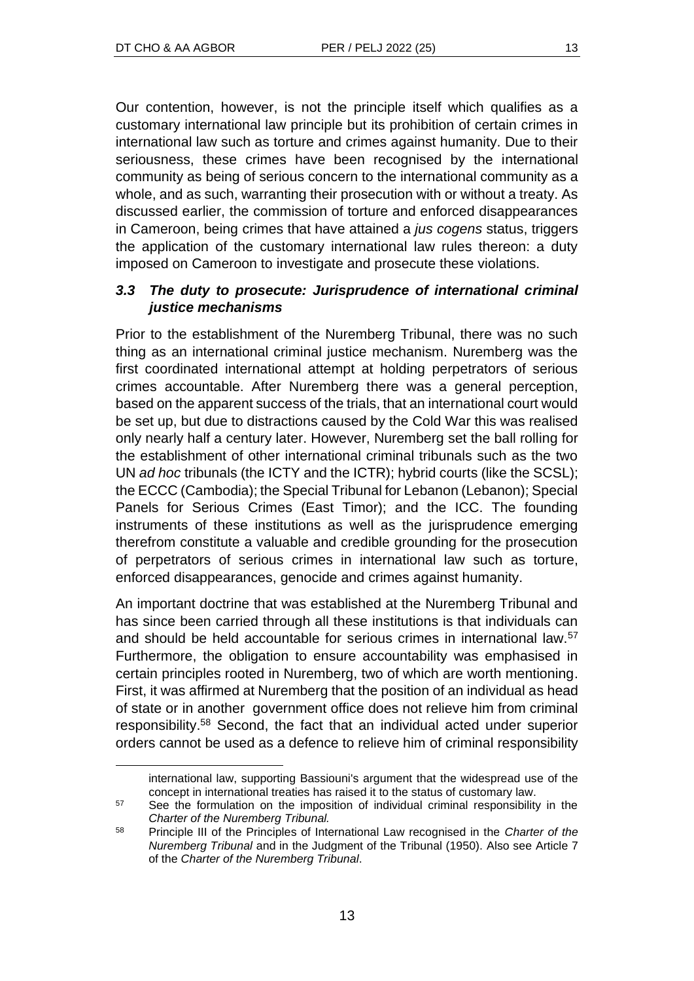Our contention, however, is not the principle itself which qualifies as a customary international law principle but its prohibition of certain crimes in international law such as torture and crimes against humanity. Due to their seriousness, these crimes have been recognised by the international community as being of serious concern to the international community as a whole, and as such, warranting their prosecution with or without a treaty. As discussed earlier, the commission of torture and enforced disappearances in Cameroon, being crimes that have attained a *jus cogens* status, triggers the application of the customary international law rules thereon: a duty imposed on Cameroon to investigate and prosecute these violations.

## *3.3 The duty to prosecute: Jurisprudence of international criminal justice mechanisms*

Prior to the establishment of the Nuremberg Tribunal, there was no such thing as an international criminal justice mechanism. Nuremberg was the first coordinated international attempt at holding perpetrators of serious crimes accountable. After Nuremberg there was a general perception, based on the apparent success of the trials, that an international court would be set up, but due to distractions caused by the Cold War this was realised only nearly half a century later. However, Nuremberg set the ball rolling for the establishment of other international criminal tribunals such as the two UN *ad hoc* tribunals (the ICTY and the ICTR); hybrid courts (like the SCSL); the ECCC (Cambodia); the Special Tribunal for Lebanon (Lebanon); Special Panels for Serious Crimes (East Timor); and the ICC. The founding instruments of these institutions as well as the jurisprudence emerging therefrom constitute a valuable and credible grounding for the prosecution of perpetrators of serious crimes in international law such as torture, enforced disappearances, genocide and crimes against humanity.

An important doctrine that was established at the Nuremberg Tribunal and has since been carried through all these institutions is that individuals can and should be held accountable for serious crimes in international law.<sup>57</sup> Furthermore, the obligation to ensure accountability was emphasised in certain principles rooted in Nuremberg, two of which are worth mentioning. First, it was affirmed at Nuremberg that the position of an individual as head of state or in another government office does not relieve him from criminal responsibility. <sup>58</sup> Second, the fact that an individual acted under superior orders cannot be used as a defence to relieve him of criminal responsibility

international law, supporting Bassiouni's argument that the widespread use of the concept in international treaties has raised it to the status of customary law.

<sup>&</sup>lt;sup>57</sup> See the formulation on the imposition of individual criminal responsibility in the *Charter of the Nuremberg Tribunal.*

<sup>58</sup> Principle III of the Principles of International Law recognised in the *Charter of the Nuremberg Tribunal* and in the Judgment of the Tribunal (1950). Also see Article 7 of the *Charter of the Nuremberg Tribunal*.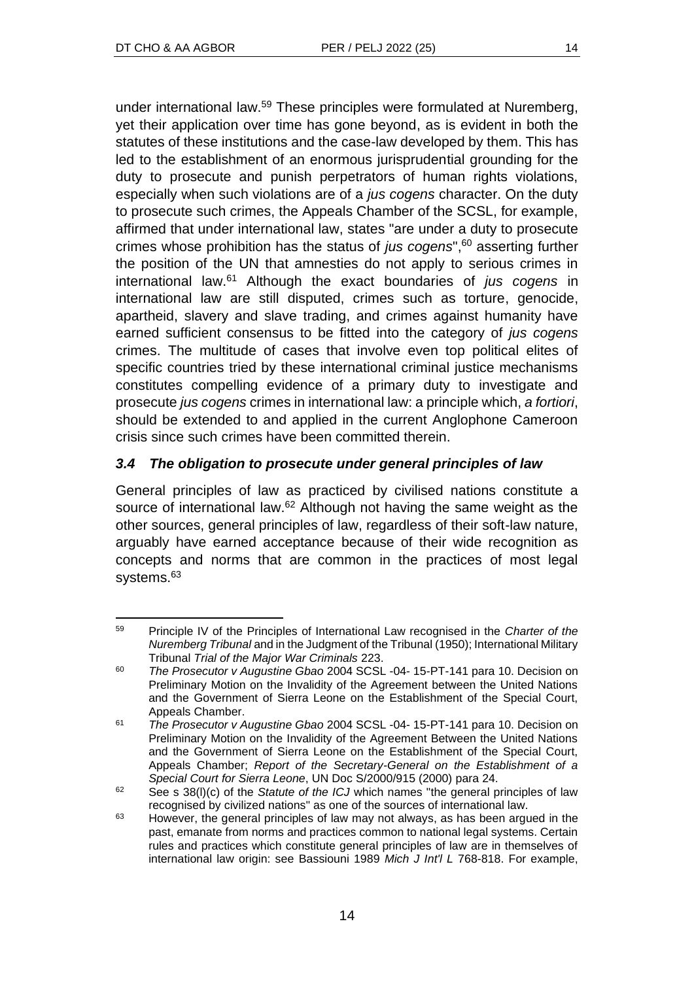under international law.<sup>59</sup> These principles were formulated at Nuremberg, yet their application over time has gone beyond, as is evident in both the statutes of these institutions and the case-law developed by them. This has led to the establishment of an enormous jurisprudential grounding for the duty to prosecute and punish perpetrators of human rights violations, especially when such violations are of a *jus cogens* character. On the duty to prosecute such crimes, the Appeals Chamber of the SCSL, for example, affirmed that under international law, states "are under a duty to prosecute crimes whose prohibition has the status of *jus cogens*", <sup>60</sup> asserting further the position of the UN that amnesties do not apply to serious crimes in international law.<sup>61</sup> Although the exact boundaries of *jus cogens* in international law are still disputed, crimes such as torture, genocide, apartheid, slavery and slave trading, and crimes against humanity have earned sufficient consensus to be fitted into the category of *jus cogens* crimes. The multitude of cases that involve even top political elites of specific countries tried by these international criminal justice mechanisms constitutes compelling evidence of a primary duty to investigate and prosecute *jus cogens* crimes in international law: a principle which, *a fortiori*, should be extended to and applied in the current Anglophone Cameroon crisis since such crimes have been committed therein.

## *3.4 The obligation to prosecute under general principles of law*

General principles of law as practiced by civilised nations constitute a source of international law.<sup>62</sup> Although not having the same weight as the other sources, general principles of law, regardless of their soft-law nature, arguably have earned acceptance because of their wide recognition as concepts and norms that are common in the practices of most legal systems.<sup>63</sup>

<sup>59</sup> Principle IV of the Principles of International Law recognised in the *Charter of the Nuremberg Tribunal* and in the Judgment of the Tribunal (1950); International Military Tribunal *Trial of the Major War Criminals* 223.

<sup>60</sup> *The Prosecutor v Augustine Gbao* 2004 SCSL -04- 15-PT-141 para 10. Decision on Preliminary Motion on the Invalidity of the Agreement between the United Nations and the Government of Sierra Leone on the Establishment of the Special Court, Appeals Chamber.

<sup>61</sup> *The Prosecutor v Augustine Gbao* 2004 SCSL -04- 15-PT-141 para 10. Decision on Preliminary Motion on the Invalidity of the Agreement Between the United Nations and the Government of Sierra Leone on the Establishment of the Special Court, Appeals Chamber; *Report of the Secretary-General on the Establishment of a Special Court for Sierra Leone*, UN Doc S/2000/915 (2000) para 24.

<sup>&</sup>lt;sup>62</sup> See s 38(I)(c) of the *Statute of the ICJ* which names "the general principles of law recognised by civilized nations" as one of the sources of international law.

<sup>&</sup>lt;sup>63</sup> However, the general principles of law may not always, as has been argued in the past, emanate from norms and practices common to national legal systems. Certain rules and practices which constitute general principles of law are in themselves of international law origin: see Bassiouni 1989 *Mich J Int'l L* 768-818. For example,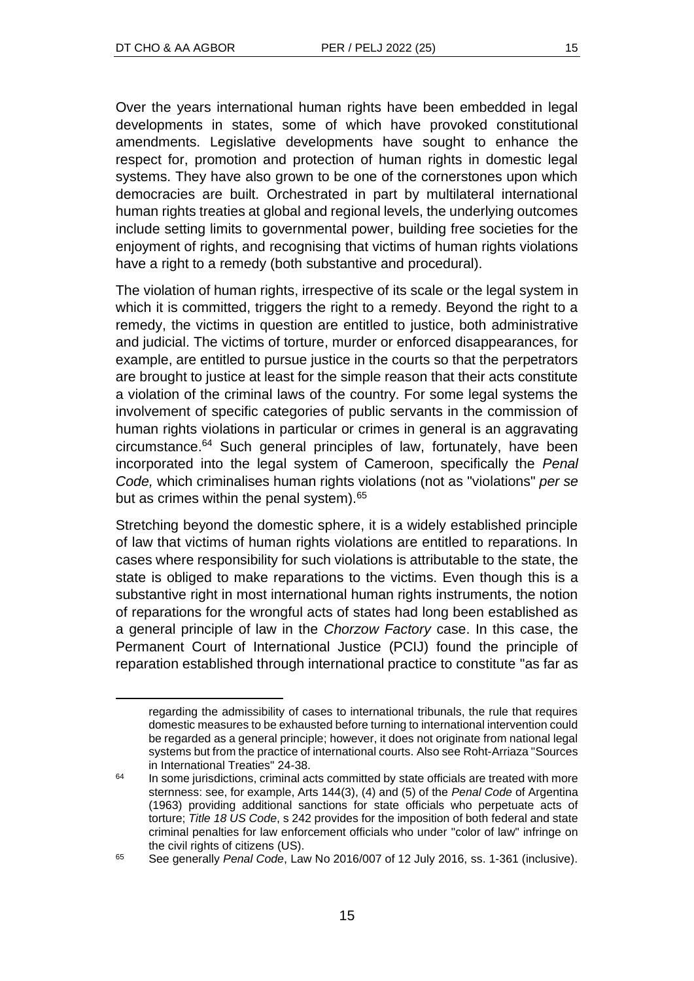Over the years international human rights have been embedded in legal developments in states, some of which have provoked constitutional amendments. Legislative developments have sought to enhance the respect for, promotion and protection of human rights in domestic legal systems. They have also grown to be one of the cornerstones upon which democracies are built. Orchestrated in part by multilateral international human rights treaties at global and regional levels, the underlying outcomes include setting limits to governmental power, building free societies for the enjoyment of rights, and recognising that victims of human rights violations have a right to a remedy (both substantive and procedural).

The violation of human rights, irrespective of its scale or the legal system in which it is committed, triggers the right to a remedy. Beyond the right to a remedy, the victims in question are entitled to justice, both administrative and judicial. The victims of torture, murder or enforced disappearances, for example, are entitled to pursue justice in the courts so that the perpetrators are brought to justice at least for the simple reason that their acts constitute a violation of the criminal laws of the country. For some legal systems the involvement of specific categories of public servants in the commission of human rights violations in particular or crimes in general is an aggravating circumstance.<sup>64</sup> Such general principles of law, fortunately, have been incorporated into the legal system of Cameroon, specifically the *Penal Code,* which criminalises human rights violations (not as "violations" *per se* but as crimes within the penal system).<sup>65</sup>

Stretching beyond the domestic sphere, it is a widely established principle of law that victims of human rights violations are entitled to reparations. In cases where responsibility for such violations is attributable to the state, the state is obliged to make reparations to the victims. Even though this is a substantive right in most international human rights instruments, the notion of reparations for the wrongful acts of states had long been established as a general principle of law in the *Chorzow Factory* case. In this case, the Permanent Court of International Justice (PCIJ) found the principle of reparation established through international practice to constitute "as far as

regarding the admissibility of cases to international tribunals, the rule that requires domestic measures to be exhausted before turning to international intervention could be regarded as a general principle; however, it does not originate from national legal systems but from the practice of international courts. Also see Roht-Arriaza "Sources in International Treaties" 24-38.

<sup>&</sup>lt;sup>64</sup> In some jurisdictions, criminal acts committed by state officials are treated with more sternness: see, for example, Arts 144(3), (4) and (5) of the *Penal Code* of Argentina (1963) providing additional sanctions for state officials who perpetuate acts of torture; *Title 18 US Code*, s 242 provides for the imposition of both federal and state criminal penalties for law enforcement officials who under "color of law" infringe on the civil rights of citizens (US).

<sup>65</sup> See generally *Penal Code*, Law No 2016/007 of 12 July 2016, ss. 1-361 (inclusive).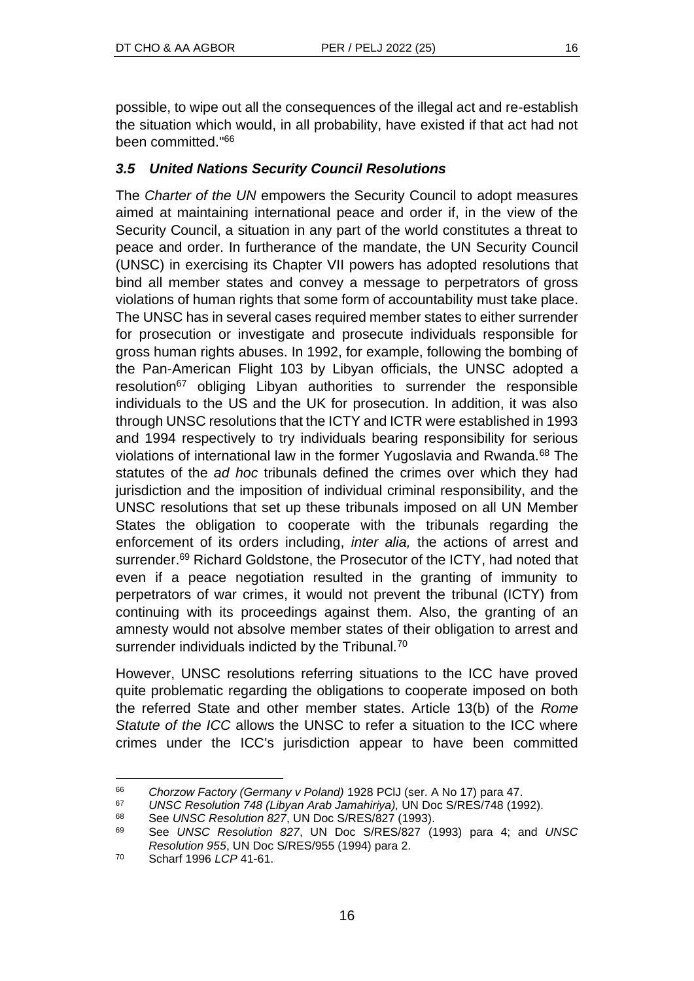possible, to wipe out all the consequences of the illegal act and re-establish the situation which would, in all probability, have existed if that act had not been committed."<sup>66</sup>

## *3.5 United Nations Security Council Resolutions*

The *Charter of the UN* empowers the Security Council to adopt measures aimed at maintaining international peace and order if, in the view of the Security Council, a situation in any part of the world constitutes a threat to peace and order. In furtherance of the mandate, the UN Security Council (UNSC) in exercising its Chapter VII powers has adopted resolutions that bind all member states and convey a message to perpetrators of gross violations of human rights that some form of accountability must take place. The UNSC has in several cases required member states to either surrender for prosecution or investigate and prosecute individuals responsible for gross human rights abuses. In 1992, for example, following the bombing of the Pan-American Flight 103 by Libyan officials, the UNSC adopted a resolution<sup>67</sup> obliging Libyan authorities to surrender the responsible individuals to the US and the UK for prosecution. In addition, it was also through UNSC resolutions that the ICTY and ICTR were established in 1993 and 1994 respectively to try individuals bearing responsibility for serious violations of international law in the former Yugoslavia and Rwanda.<sup>68</sup> The statutes of the *ad hoc* tribunals defined the crimes over which they had jurisdiction and the imposition of individual criminal responsibility, and the UNSC resolutions that set up these tribunals imposed on all UN Member States the obligation to cooperate with the tribunals regarding the enforcement of its orders including, *inter alia,* the actions of arrest and surrender.<sup>69</sup> Richard Goldstone, the Prosecutor of the ICTY, had noted that even if a peace negotiation resulted in the granting of immunity to perpetrators of war crimes, it would not prevent the tribunal (ICTY) from continuing with its proceedings against them. Also, the granting of an amnesty would not absolve member states of their obligation to arrest and surrender individuals indicted by the Tribunal.<sup>70</sup>

However, UNSC resolutions referring situations to the ICC have proved quite problematic regarding the obligations to cooperate imposed on both the referred State and other member states. Article 13(b) of the *Rome Statute of the ICC* allows the UNSC to refer a situation to the ICC where crimes under the ICC's jurisdiction appear to have been committed

<sup>66</sup> *Chorzow Factory (Germany v Poland)* 1928 PClJ (ser. A No 17) para 47.

<sup>67</sup> *UNSC Resolution 748 (Libyan Arab Jamahiriya),* UN Doc S/RES/748 (1992).

<sup>68</sup> See *UNSC Resolution 827*, UN Doc S/RES/827 (1993).

<sup>69</sup> See *UNSC Resolution 827*, UN Doc S/RES/827 (1993) para 4; and *UNSC Resolution 955*, UN Doc S/RES/955 (1994) para 2.

<sup>70</sup> Scharf 1996 *LCP* 41-61.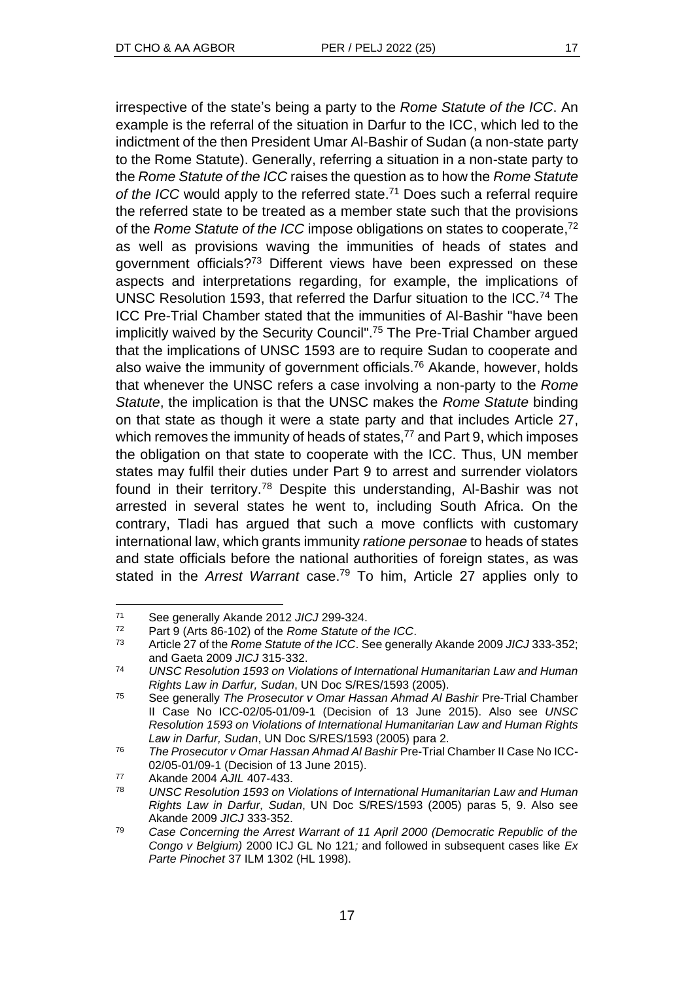irrespective of the state's being a party to the *Rome Statute of the ICC*. An example is the referral of the situation in Darfur to the ICC, which led to the indictment of the then President Umar Al-Bashir of Sudan (a non-state party to the Rome Statute). Generally, referring a situation in a non-state party to the *Rome Statute of the ICC* raises the question as to how the *Rome Statute*  of the ICC would apply to the referred state.<sup>71</sup> Does such a referral require the referred state to be treated as a member state such that the provisions of the *Rome Statute of the ICC* impose obligations on states to cooperate,<sup>72</sup> as well as provisions waving the immunities of heads of states and government officials?<sup>73</sup> Different views have been expressed on these aspects and interpretations regarding, for example, the implications of UNSC Resolution 1593, that referred the Darfur situation to the ICC.<sup>74</sup> The ICC Pre-Trial Chamber stated that the immunities of Al-Bashir "have been implicitly waived by the Security Council". <sup>75</sup> The Pre-Trial Chamber argued that the implications of UNSC 1593 are to require Sudan to cooperate and also waive the immunity of government officials.<sup>76</sup> Akande, however, holds that whenever the UNSC refers a case involving a non-party to the *Rome Statute*, the implication is that the UNSC makes the *Rome Statute* binding on that state as though it were a state party and that includes Article 27, which removes the immunity of heads of states, $77$  and Part 9, which imposes the obligation on that state to cooperate with the ICC. Thus, UN member states may fulfil their duties under Part 9 to arrest and surrender violators found in their territory.<sup>78</sup> Despite this understanding, Al-Bashir was not arrested in several states he went to, including South Africa. On the contrary, Tladi has argued that such a move conflicts with customary international law, which grants immunity *ratione personae* to heads of states and state officials before the national authorities of foreign states, as was stated in the *Arrest Warrant* case.<sup>79</sup> To him, Article 27 applies only to

<sup>71</sup> See generally Akande 2012 *JICJ* 299-324.

Part 9 (Arts 86-102) of the *Rome Statute of the ICC*.

<sup>73</sup> Article 27 of the *Rome Statute of the ICC*. See generally Akande 2009 *JICJ* 333-352; and Gaeta 2009 *JICJ* 315-332.

<sup>74</sup> *UNSC Resolution 1593 on Violations of International Humanitarian Law and Human Rights Law in Darfur, Sudan*, UN Doc S/RES/1593 (2005).

<sup>75</sup> See generally *The Prosecutor v Omar Hassan Ahmad Al Bashir* Pre-Trial Chamber II Case No ICC-02/05-01/09-1 (Decision of 13 June 2015). Also see *UNSC Resolution 1593 on Violations of International Humanitarian Law and Human Rights Law in Darfur, Sudan*, UN Doc S/RES/1593 (2005) para 2.

<sup>76</sup> *The Prosecutor v Omar Hassan Ahmad Al Bashir* Pre-Trial Chamber II Case No ICC-02/05-01/09-1 (Decision of 13 June 2015).

<sup>77</sup> Akande 2004 *AJIL* 407-433.

<sup>78</sup> *UNSC Resolution 1593 on Violations of International Humanitarian Law and Human Rights Law in Darfur, Sudan*, UN Doc S/RES/1593 (2005) paras 5, 9. Also see Akande 2009 *JICJ* 333-352.

<sup>79</sup> *Case Concerning the Arrest Warrant of 11 April 2000 (Democratic Republic of the Congo v Belgium)* 2000 ICJ GL No 121*;* and followed in subsequent cases like *Ex Parte Pinochet* 37 ILM 1302 (HL 1998).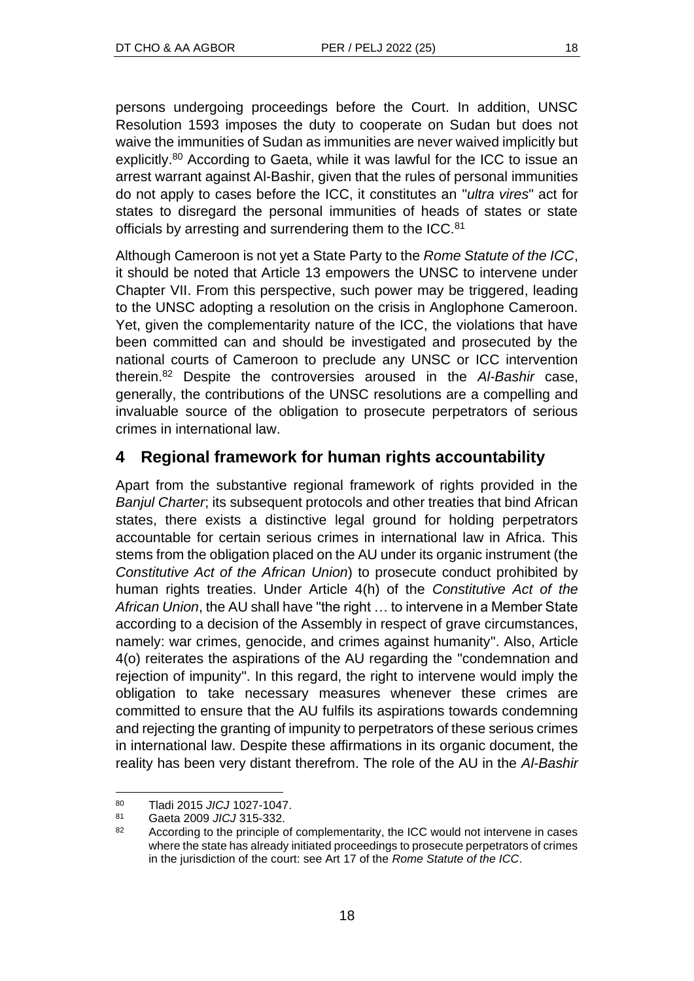persons undergoing proceedings before the Court. In addition, UNSC Resolution 1593 imposes the duty to cooperate on Sudan but does not waive the immunities of Sudan as immunities are never waived implicitly but explicitly.<sup>80</sup> According to Gaeta, while it was lawful for the ICC to issue an arrest warrant against Al-Bashir, given that the rules of personal immunities do not apply to cases before the ICC, it constitutes an "*ultra vires*" act for states to disregard the personal immunities of heads of states or state officials by arresting and surrendering them to the ICC.<sup>81</sup>

Although Cameroon is not yet a State Party to the *Rome Statute of the ICC*, it should be noted that Article 13 empowers the UNSC to intervene under Chapter VII. From this perspective, such power may be triggered, leading to the UNSC adopting a resolution on the crisis in Anglophone Cameroon. Yet, given the complementarity nature of the ICC, the violations that have been committed can and should be investigated and prosecuted by the national courts of Cameroon to preclude any UNSC or ICC intervention therein.<sup>82</sup> Despite the controversies aroused in the *Al-Bashir* case, generally, the contributions of the UNSC resolutions are a compelling and invaluable source of the obligation to prosecute perpetrators of serious crimes in international law.

# **4 Regional framework for human rights accountability**

Apart from the substantive regional framework of rights provided in the *Banjul Charter*; its subsequent protocols and other treaties that bind African states, there exists a distinctive legal ground for holding perpetrators accountable for certain serious crimes in international law in Africa. This stems from the obligation placed on the AU under its organic instrument (the *Constitutive Act of the African Union*) to prosecute conduct prohibited by human rights treaties. Under Article 4(h) of the *Constitutive Act of the African Union*, the AU shall have "the right … to intervene in a Member State according to a decision of the Assembly in respect of grave circumstances, namely: war crimes, genocide, and crimes against humanity". Also, Article 4(o) reiterates the aspirations of the AU regarding the "condemnation and rejection of impunity". In this regard, the right to intervene would imply the obligation to take necessary measures whenever these crimes are committed to ensure that the AU fulfils its aspirations towards condemning and rejecting the granting of impunity to perpetrators of these serious crimes in international law. Despite these affirmations in its organic document, the reality has been very distant therefrom. The role of the AU in the *Al-Bashir*

<sup>80</sup> Tladi 2015 *JICJ* 1027-1047.

<sup>81</sup> Gaeta 2009 *JICJ* 315-332.

<sup>&</sup>lt;sup>82</sup> According to the principle of complementarity, the ICC would not intervene in cases where the state has already initiated proceedings to prosecute perpetrators of crimes in the jurisdiction of the court: see Art 17 of the *Rome Statute of the ICC*.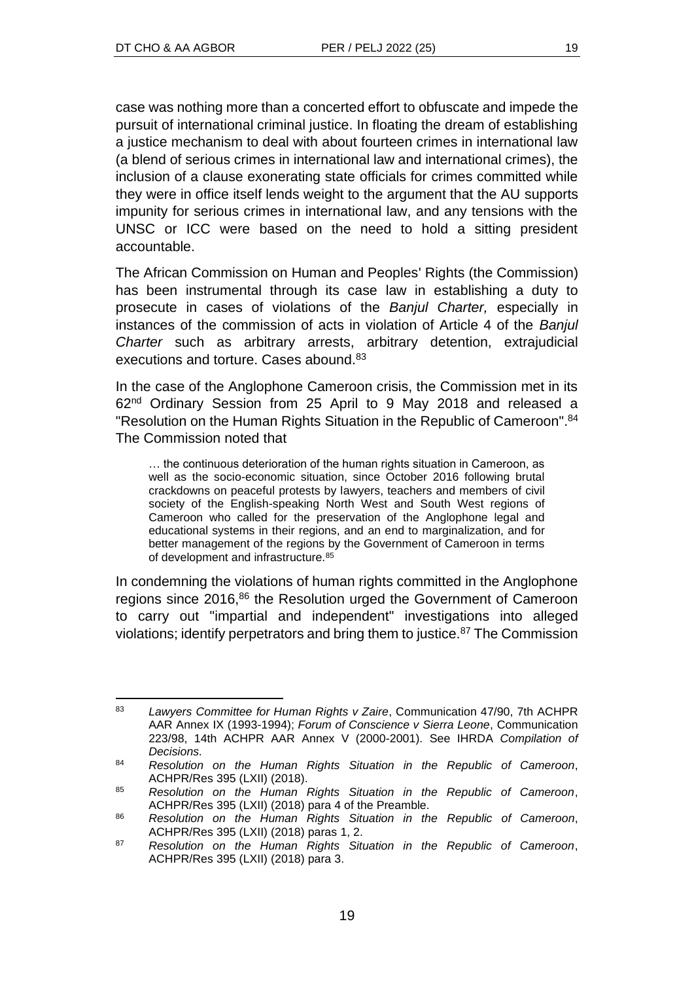case was nothing more than a concerted effort to obfuscate and impede the pursuit of international criminal justice. In floating the dream of establishing a justice mechanism to deal with about fourteen crimes in international law (a blend of serious crimes in international law and international crimes), the inclusion of a clause exonerating state officials for crimes committed while they were in office itself lends weight to the argument that the AU supports impunity for serious crimes in international law, and any tensions with the UNSC or ICC were based on the need to hold a sitting president accountable.

The African Commission on Human and Peoples' Rights (the Commission) has been instrumental through its case law in establishing a duty to prosecute in cases of violations of the *Banjul Charter,* especially in instances of the commission of acts in violation of Article 4 of the *Banjul Charter* such as arbitrary arrests, arbitrary detention, extrajudicial executions and torture. Cases abound.<sup>83</sup>

In the case of the Anglophone Cameroon crisis, the Commission met in its 62nd Ordinary Session from 25 April to 9 May 2018 and released a "Resolution on the Human Rights Situation in the Republic of Cameroon". 84 The Commission noted that

… the continuous deterioration of the human rights situation in Cameroon, as well as the socio-economic situation, since October 2016 following brutal crackdowns on peaceful protests by lawyers, teachers and members of civil society of the English-speaking North West and South West regions of Cameroon who called for the preservation of the Anglophone legal and educational systems in their regions, and an end to marginalization, and for better management of the regions by the Government of Cameroon in terms of development and infrastructure.<sup>85</sup>

In condemning the violations of human rights committed in the Anglophone regions since 2016,<sup>86</sup> the Resolution urged the Government of Cameroon to carry out "impartial and independent" investigations into alleged violations; identify perpetrators and bring them to justice.<sup>87</sup> The Commission

<sup>83</sup> *Lawyers Committee for Human Rights v Zaire*, Communication 47/90, 7th ACHPR AAR Annex IX (1993-1994); *Forum of Conscience v Sierra Leone*, Communication 223/98, 14th ACHPR AAR Annex V (2000-2001). See IHRDA *Compilation of Decisions.*

<sup>84</sup> *Resolution on the Human Rights Situation in the Republic of Cameroon*, ACHPR/Res 395 (LXII) (2018).

<sup>85</sup> *Resolution on the Human Rights Situation in the Republic of Cameroon*, ACHPR/Res 395 (LXII) (2018) para 4 of the Preamble.

<sup>86</sup> *Resolution on the Human Rights Situation in the Republic of Cameroon*, ACHPR/Res 395 (LXII) (2018) paras 1, 2.

<sup>87</sup> *Resolution on the Human Rights Situation in the Republic of Cameroon*, ACHPR/Res 395 (LXII) (2018) para 3.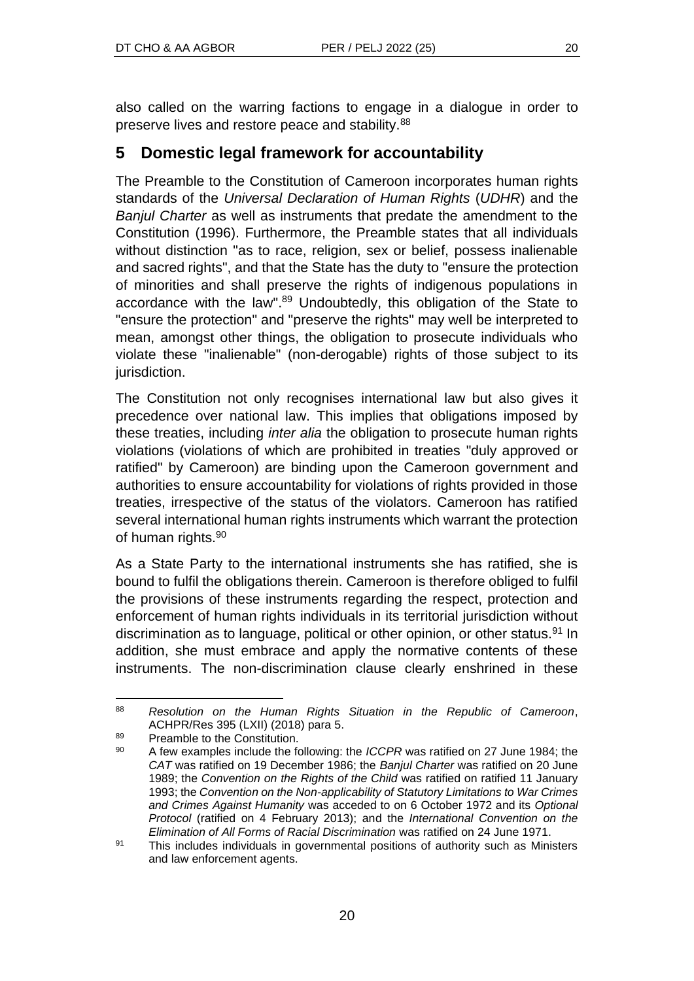also called on the warring factions to engage in a dialogue in order to preserve lives and restore peace and stability.<sup>88</sup>

# **5 Domestic legal framework for accountability**

The Preamble to the Constitution of Cameroon incorporates human rights standards of the *Universal Declaration of Human Rights* (*UDHR*) and the *Banjul Charter* as well as instruments that predate the amendment to the Constitution (1996). Furthermore, the Preamble states that all individuals without distinction "as to race, religion, sex or belief, possess inalienable and sacred rights", and that the State has the duty to "ensure the protection of minorities and shall preserve the rights of indigenous populations in accordance with the law".<sup>89</sup> Undoubtedly, this obligation of the State to "ensure the protection" and "preserve the rights" may well be interpreted to mean, amongst other things, the obligation to prosecute individuals who violate these "inalienable" (non-derogable) rights of those subject to its jurisdiction.

The Constitution not only recognises international law but also gives it precedence over national law. This implies that obligations imposed by these treaties, including *inter alia* the obligation to prosecute human rights violations (violations of which are prohibited in treaties "duly approved or ratified" by Cameroon) are binding upon the Cameroon government and authorities to ensure accountability for violations of rights provided in those treaties, irrespective of the status of the violators. Cameroon has ratified several international human rights instruments which warrant the protection of human rights.<sup>90</sup>

As a State Party to the international instruments she has ratified, she is bound to fulfil the obligations therein. Cameroon is therefore obliged to fulfil the provisions of these instruments regarding the respect, protection and enforcement of human rights individuals in its territorial jurisdiction without discrimination as to language, political or other opinion, or other status.<sup>91</sup> In addition, she must embrace and apply the normative contents of these instruments. The non-discrimination clause clearly enshrined in these

<sup>88</sup> *Resolution on the Human Rights Situation in the Republic of Cameroon*, ACHPR/Res 395 (LXII) (2018) para 5.

 $89$  Preamble to the Constitution.

<sup>90</sup> A few examples include the following: the *ICCPR* was ratified on 27 June 1984; the *CAT* was ratified on 19 December 1986; the *Banjul Charter* was ratified on 20 June 1989; the *Convention on the Rights of the Child* was ratified on ratified 11 January 1993; the *Convention on the Non-applicability of Statutory Limitations to War Crimes and Crimes Against Humanity* was acceded to on 6 October 1972 and its *Optional Protocol* (ratified on 4 February 2013); and the *International Convention on the Elimination of All Forms of Racial Discrimination* was ratified on 24 June 1971.

<sup>91</sup> This includes individuals in governmental positions of authority such as Ministers and law enforcement agents.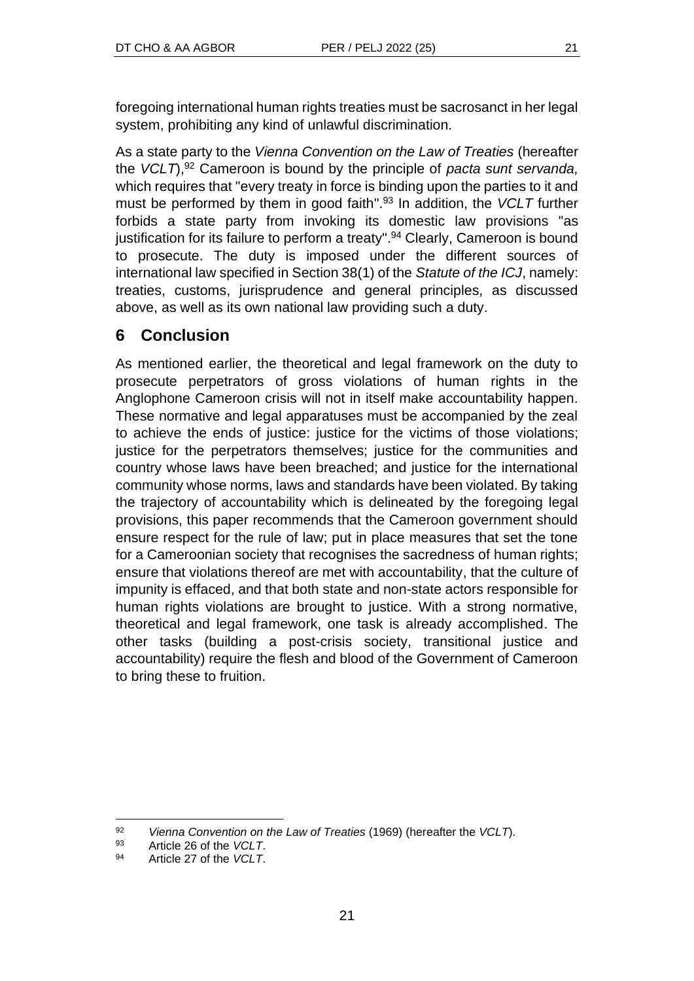foregoing international human rights treaties must be sacrosanct in her legal system, prohibiting any kind of unlawful discrimination.

As a state party to the *Vienna Convention on the Law of Treaties* (hereafter the *VCLT*),<sup>92</sup> Cameroon is bound by the principle of *pacta sunt servanda,* which requires that "every treaty in force is binding upon the parties to it and must be performed by them in good faith". <sup>93</sup> In addition, the *VCLT* further forbids a state party from invoking its domestic law provisions "as justification for its failure to perform a treaty".<sup>94</sup> Clearly, Cameroon is bound to prosecute. The duty is imposed under the different sources of international law specified in Section 38(1) of the *Statute of the ICJ*, namely: treaties, customs, jurisprudence and general principles, as discussed above, as well as its own national law providing such a duty.

# **6 Conclusion**

As mentioned earlier, the theoretical and legal framework on the duty to prosecute perpetrators of gross violations of human rights in the Anglophone Cameroon crisis will not in itself make accountability happen. These normative and legal apparatuses must be accompanied by the zeal to achieve the ends of justice: justice for the victims of those violations; justice for the perpetrators themselves; justice for the communities and country whose laws have been breached; and justice for the international community whose norms, laws and standards have been violated. By taking the trajectory of accountability which is delineated by the foregoing legal provisions, this paper recommends that the Cameroon government should ensure respect for the rule of law; put in place measures that set the tone for a Cameroonian society that recognises the sacredness of human rights; ensure that violations thereof are met with accountability, that the culture of impunity is effaced, and that both state and non-state actors responsible for human rights violations are brought to justice. With a strong normative, theoretical and legal framework, one task is already accomplished. The other tasks (building a post-crisis society, transitional justice and accountability) require the flesh and blood of the Government of Cameroon to bring these to fruition.

<sup>92</sup> *Vienna Convention on the Law of Treaties* (1969) (hereafter the *VCLT*).

<sup>93</sup> Article 26 of the *VCLT*.

<sup>94</sup> Article 27 of the *VCLT*.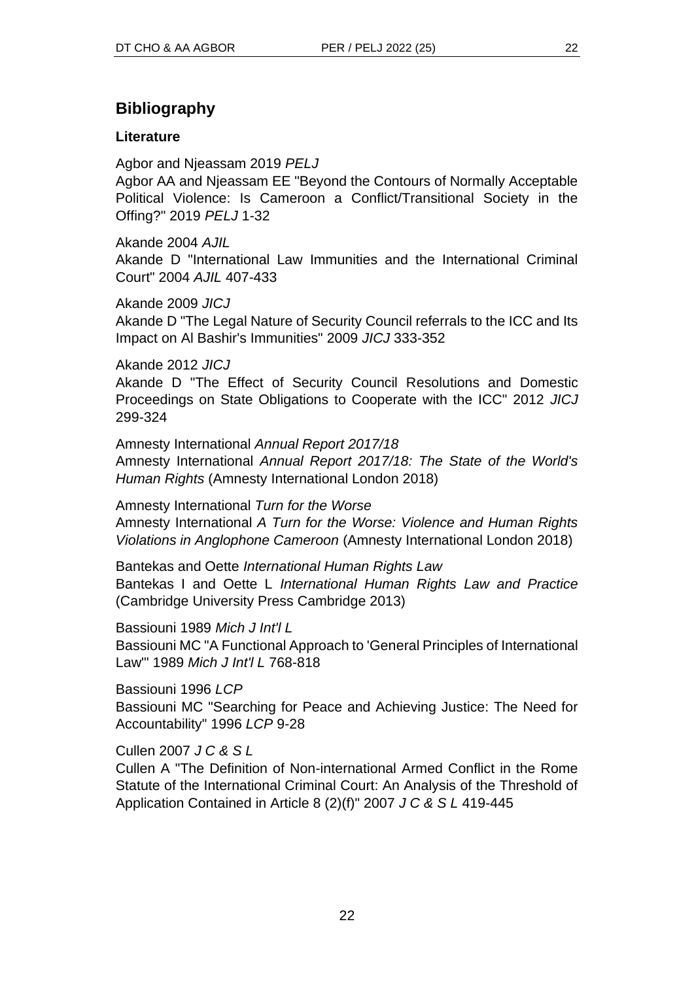# **Bibliography**

## **Literature**

Agbor and Njeassam 2019 *PELJ*

Agbor AA and Njeassam EE "Beyond the Contours of Normally Acceptable Political Violence: Is Cameroon a Conflict/Transitional Society in the Offing?" 2019 *PELJ* 1-32

Akande 2004 *AJIL* Akande D "International Law Immunities and the International Criminal Court" 2004 *AJIL* 407-433

Akande 2009 *JICJ* Akande D "The Legal Nature of Security Council referrals to the ICC and Its Impact on Al Bashir's Immunities" 2009 *JICJ* 333-352

Akande 2012 *JICJ*

Akande D "The Effect of Security Council Resolutions and Domestic Proceedings on State Obligations to Cooperate with the ICC" 2012 *JICJ* 299-324

Amnesty International *Annual Report 2017/18* Amnesty International *Annual Report 2017/18: The State of the World's Human Rights* (Amnesty International London 2018)

Amnesty International *Turn for the Worse* Amnesty International *A Turn for the Worse: Violence and Human Rights Violations in Anglophone Cameroon* (Amnesty International London 2018)

Bantekas and Oette *International Human Rights Law* Bantekas I and Oette L *International Human Rights Law and Practice*  (Cambridge University Press Cambridge 2013)

Bassiouni 1989 *Mich J Int'l L* Bassiouni MC "A Functional Approach to 'General Principles of International Law'" 1989 *Mich J Int'l L* 768-818

Bassiouni 1996 *LCP* Bassiouni MC "Searching for Peace and Achieving Justice: The Need for Accountability" 1996 *LCP* 9-28

Cullen 2007 *J C & S L*

Cullen A "The Definition of Non-international Armed Conflict in the Rome Statute of the International Criminal Court: An Analysis of the Threshold of Application Contained in Article 8 (2)(f)" 2007 *J C & S L* 419-445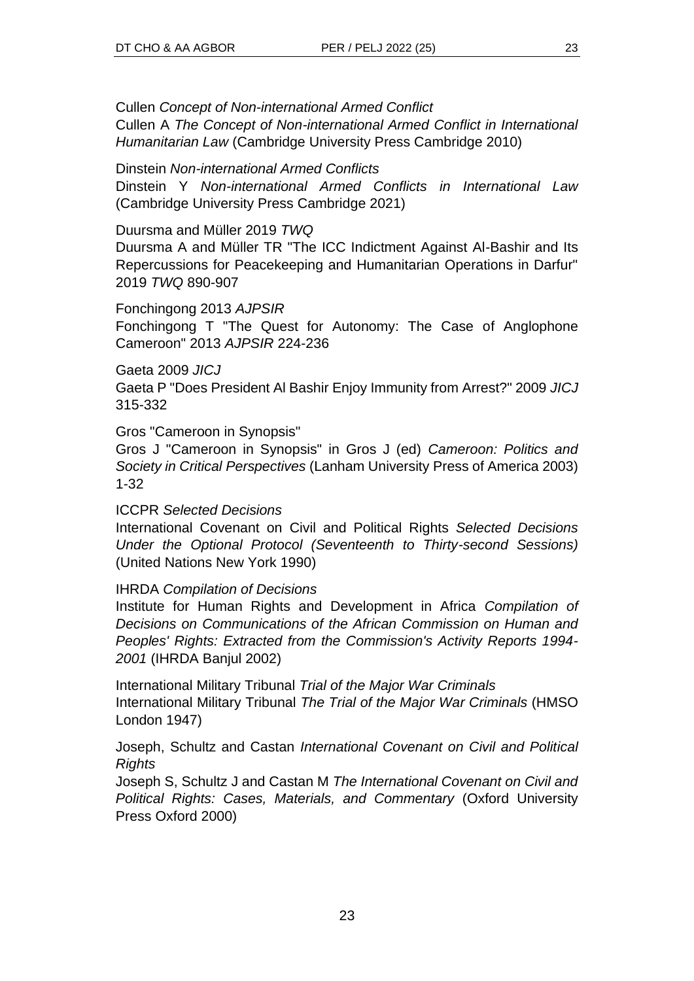Cullen *Concept of Non-international Armed Conflict*

Cullen A *The Concept of Non-international Armed Conflict in International Humanitarian Law* (Cambridge University Press Cambridge 2010)

Dinstein *Non-international Armed Conflicts*

Dinstein Y *Non-international Armed Conflicts in International Law*  (Cambridge University Press Cambridge 2021)

Duursma and Müller 2019 *TWQ*

Duursma A and Müller TR "The ICC Indictment Against Al-Bashir and Its Repercussions for Peacekeeping and Humanitarian Operations in Darfur" 2019 *TWQ* 890-907

Fonchingong 2013 *AJPSIR*

Fonchingong T "The Quest for Autonomy: The Case of Anglophone Cameroon" 2013 *AJPSIR* 224-236

Gaeta 2009 *JICJ*

Gaeta P "Does President Al Bashir Enjoy Immunity from Arrest?" 2009 *JICJ* 315-332

Gros "Cameroon in Synopsis"

Gros J "Cameroon in Synopsis" in Gros J (ed) *Cameroon: Politics and Society in Critical Perspectives* (Lanham University Press of America 2003) 1-32

ICCPR *Selected Decisions*

International Covenant on Civil and Political Rights *Selected Decisions Under the Optional Protocol (Seventeenth to Thirty-second Sessions)* (United Nations New York 1990)

IHRDA *Compilation of Decisions*

Institute for Human Rights and Development in Africa *Compilation of Decisions on Communications of the African Commission on Human and Peoples' Rights: Extracted from the Commission's Activity Reports 1994- 2001* (IHRDA Banjul 2002)

International Military Tribunal *Trial of the Major War Criminals* International Military Tribunal *The Trial of the Major War Criminals* (HMSO London 1947)

Joseph, Schultz and Castan *International Covenant on Civil and Political Rights*

Joseph S, Schultz J and Castan M *The International Covenant on Civil and Political Rights: Cases, Materials, and Commentary* (Oxford University Press Oxford 2000)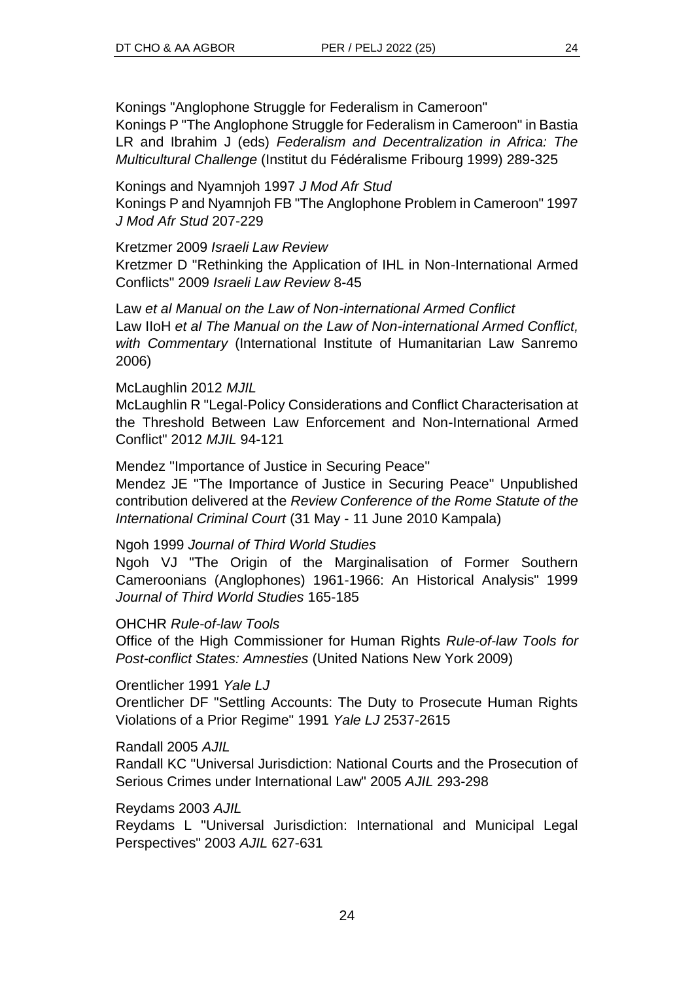Konings "Anglophone Struggle for Federalism in Cameroon" Konings P "The Anglophone Struggle for Federalism in Cameroon" in Bastia LR and Ibrahim J (eds) *Federalism and Decentralization in Africa: The Multicultural Challenge* (Institut du Fédéralisme Fribourg 1999) 289-325

Konings and Nyamnjoh 1997 *J Mod Afr Stud*

Konings P and Nyamnjoh FB "The Anglophone Problem in Cameroon" 1997 *J Mod Afr Stud* 207-229

### Kretzmer 2009 *Israeli Law Review*

Kretzmer D "Rethinking the Application of IHL in Non-International Armed Conflicts" 2009 *Israeli Law Review* 8-45

Law *et al Manual on the Law of Non-international Armed Conflict* Law IIoH *et al The Manual on the Law of Non-international Armed Conflict, with Commentary* (International Institute of Humanitarian Law Sanremo 2006)

#### McLaughlin 2012 *MJIL*

McLaughlin R "Legal-Policy Considerations and Conflict Characterisation at the Threshold Between Law Enforcement and Non-International Armed Conflict" 2012 *MJIL* 94-121

Mendez ''Importance of Justice in Securing Peace''

Mendez JE "The Importance of Justice in Securing Peace" Unpublished contribution delivered at the *Review Conference of the Rome Statute of the International Criminal Court* (31 May - 11 June 2010 Kampala)

### Ngoh 1999 *Journal of Third World Studies*

Ngoh VJ "The Origin of the Marginalisation of Former Southern Cameroonians (Anglophones) 1961-1966: An Historical Analysis" 1999 *Journal of Third World Studies* 165-185

### OHCHR *Rule-of-law Tools*

Office of the High Commissioner for Human Rights *Rule-of-law Tools for Post-conflict States: Amnesties* (United Nations New York 2009)

Orentlicher 1991 *Yale LJ*

Orentlicher DF "Settling Accounts: The Duty to Prosecute Human Rights Violations of a Prior Regime" 1991 *Yale LJ* 2537-2615

Randall 2005 *AJIL*

Randall KC "Universal Jurisdiction: National Courts and the Prosecution of Serious Crimes under International Law" 2005 *AJIL* 293-298

### Reydams 2003 *AJIL*

Reydams L "Universal Jurisdiction: International and Municipal Legal Perspectives" 2003 *AJIL* 627-631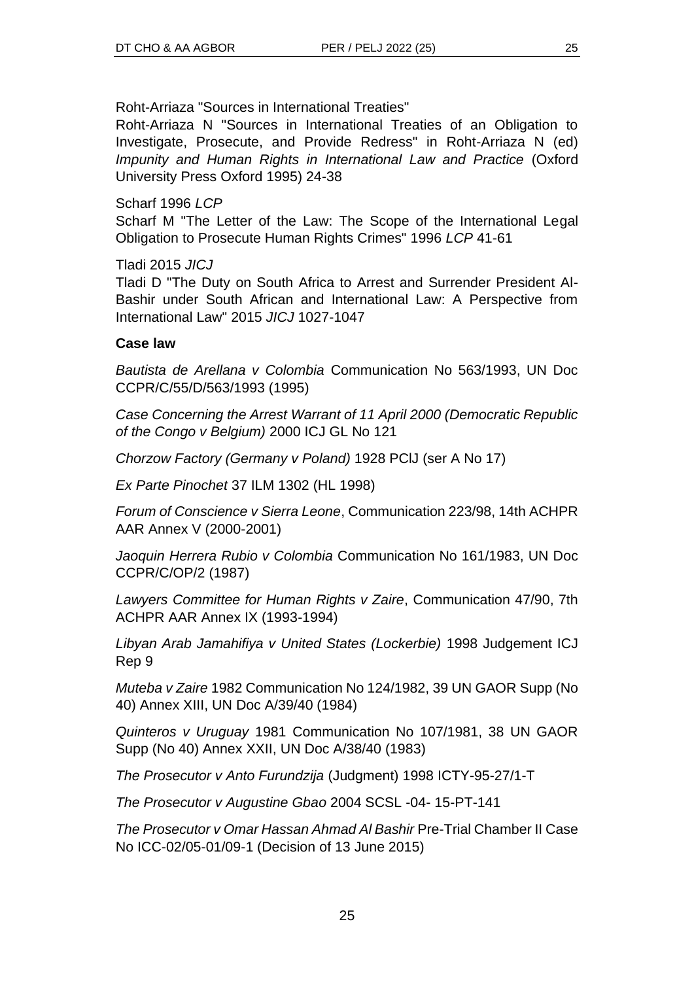Roht-Arriaza "Sources in International Treaties"

Roht-Arriaza N "Sources in International Treaties of an Obligation to Investigate, Prosecute, and Provide Redress" in Roht-Arriaza N (ed) *Impunity and Human Rights in International Law and Practice* (Oxford University Press Oxford 1995) 24-38

Scharf 1996 *LCP*

Scharf M "The Letter of the Law: The Scope of the International Legal Obligation to Prosecute Human Rights Crimes" 1996 *LCP* 41-61

Tladi 2015 *JICJ*

Tladi D "The Duty on South Africa to Arrest and Surrender President Al-Bashir under South African and International Law: A Perspective from International Law" 2015 *JICJ* 1027-1047

## **Case law**

*Bautista de Arellana v Colombia* Communication No 563/1993, UN Doc CCPR/C/55/D/563/1993 (1995)

*Case Concerning the Arrest Warrant of 11 April 2000 (Democratic Republic of the Congo v Belgium)* 2000 ICJ GL No 121

*Chorzow Factory (Germany v Poland)* 1928 PClJ (ser A No 17)

*Ex Parte Pinochet* 37 ILM 1302 (HL 1998)

*Forum of Conscience v Sierra Leone*, Communication 223/98, 14th ACHPR AAR Annex V (2000-2001)

*Jaoquin Herrera Rubio v Colombia* Communication No 161/1983, UN Doc CCPR/C/OP/2 (1987)

*Lawyers Committee for Human Rights v Zaire*, Communication 47/90, 7th ACHPR AAR Annex IX (1993-1994)

*Libyan Arab Jamahifiya v United States (Lockerbie)* 1998 Judgement ICJ Rep 9

*Muteba v Zaire* 1982 Communication No 124/1982, 39 UN GAOR Supp (No 40) Annex XIII, UN Doc A/39/40 (1984)

*Quinteros v Uruguay* 1981 Communication No 107/1981, 38 UN GAOR Supp (No 40) Annex XXII, UN Doc A/38/40 (1983)

*The Prosecutor v Anto Furundzija* (Judgment) 1998 ICTY-95-27/1-T

*The Prosecutor v Augustine Gbao* 2004 SCSL -04- 15-PT-141

*The Prosecutor v Omar Hassan Ahmad Al Bashir* Pre-Trial Chamber II Case No ICC-02/05-01/09-1 (Decision of 13 June 2015)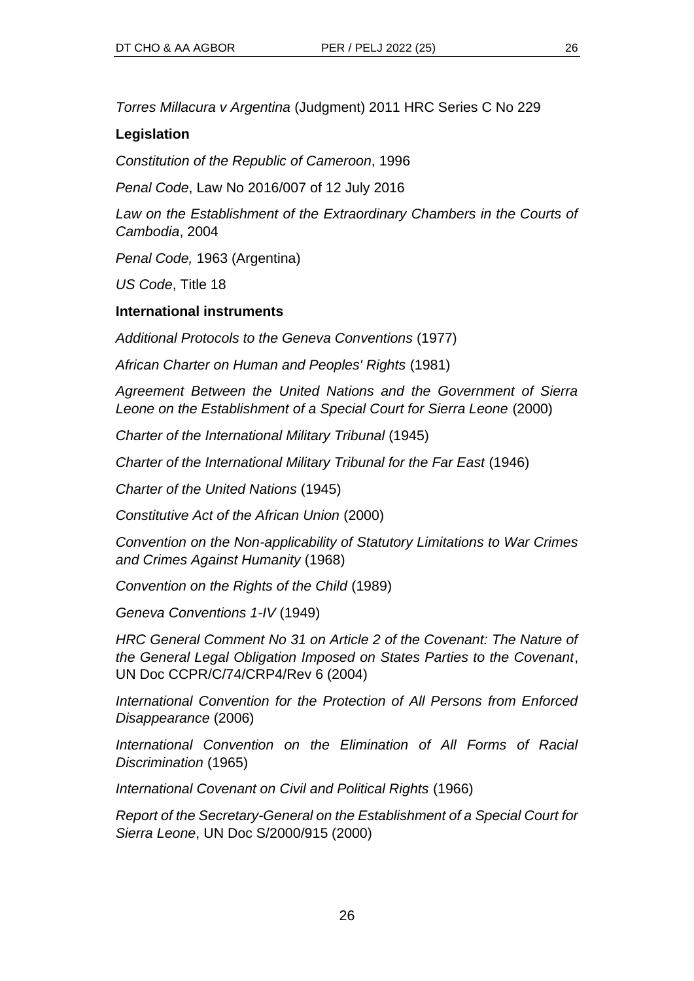*Torres Millacura v Argentina* (Judgment) 2011 HRC Series C No 229

## **Legislation**

*Constitution of the Republic of Cameroon*, 1996

*Penal Code*, Law No 2016/007 of 12 July 2016

Law on the Establishment of the Extraordinary Chambers in the Courts of *Cambodia*, 2004

*Penal Code,* 1963 (Argentina)

*US Code*, Title 18

## **International instruments**

*Additional Protocols to the Geneva Conventions* (1977)

*African Charter on Human and Peoples' Rights* (1981)

*Agreement Between the United Nations and the Government of Sierra Leone on the Establishment of a Special Court for Sierra Leone* (2000)

*Charter of the International Military Tribunal* (1945)

*Charter of the International Military Tribunal for the Far East* (1946)

*Charter of the United Nations* (1945)

*Constitutive Act of the African Union* (2000)

*Convention on the Non-applicability of Statutory Limitations to War Crimes and Crimes Against Humanity* (1968)

*Convention on the Rights of the Child* (1989)

*Geneva Conventions 1-IV* (1949)

*HRC General Comment No 31 on Article 2 of the Covenant: The Nature of the General Legal Obligation Imposed on States Parties to the Covenant*, UN Doc CCPR/C/74/CRP4/Rev 6 (2004)

*International Convention for the Protection of All Persons from Enforced Disappearance* (2006)

*International Convention on the Elimination of All Forms of Racial Discrimination* (1965)

*International Covenant on Civil and Political Rights* (1966)

*Report of the Secretary-General on the Establishment of a Special Court for Sierra Leone*, UN Doc S/2000/915 (2000)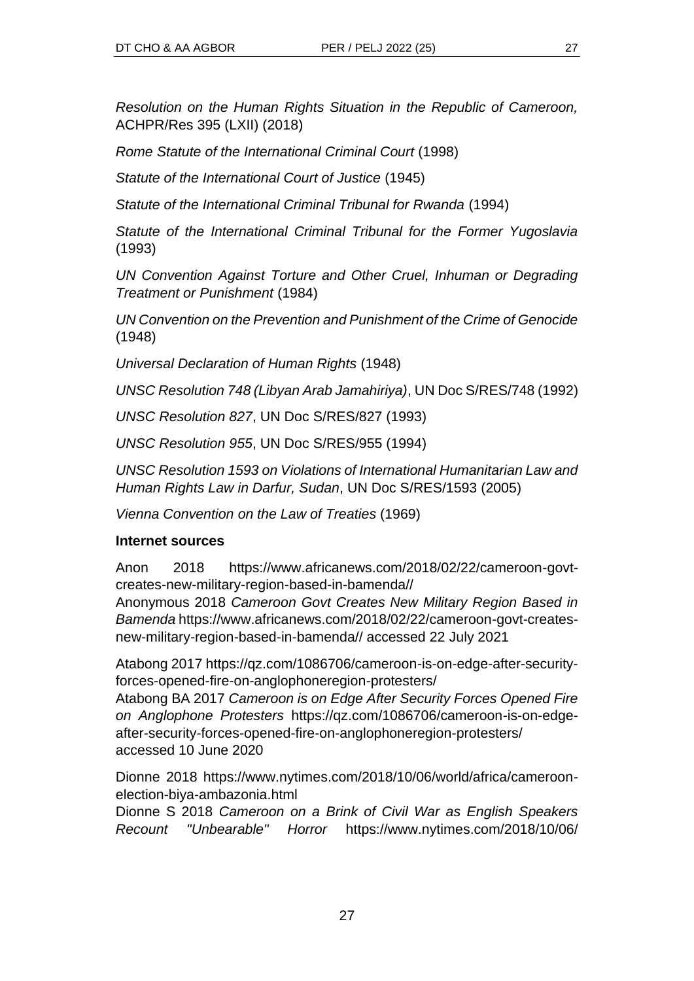*Resolution on the Human Rights Situation in the Republic of Cameroon,* ACHPR/Res 395 (LXII) (2018)

*Rome Statute of the International Criminal Court* (1998)

*Statute of the International Court of Justice* (1945)

*Statute of the International Criminal Tribunal for Rwanda* (1994)

*Statute of the International Criminal Tribunal for the Former Yugoslavia*  (1993)

*UN Convention Against Torture and Other Cruel, Inhuman or Degrading Treatment or Punishment* (1984)

*UN Convention on the Prevention and Punishment of the Crime of Genocide*  (1948)

*Universal Declaration of Human Rights* (1948)

*UNSC Resolution 748 (Libyan Arab Jamahiriya)*, UN Doc S/RES/748 (1992)

*UNSC Resolution 827*, UN Doc S/RES/827 (1993)

*UNSC Resolution 955*, UN Doc S/RES/955 (1994)

*UNSC Resolution 1593 on Violations of International Humanitarian Law and Human Rights Law in Darfur, Sudan*, UN Doc S/RES/1593 (2005)

*Vienna Convention on the Law of Treaties* (1969)

## **Internet sources**

Anon 2018 https://www.africanews.com/2018/02/22/cameroon-govtcreates-new-military-region-based-in-bamenda//

Anonymous 2018 *Cameroon Govt Creates New Military Region Based in Bamenda* https://www.africanews.com/2018/02/22/cameroon-govt-createsnew-military-region-based-in-bamenda// accessed 22 July 2021

Atabong 2017 https://qz.com/1086706/cameroon-is-on-edge-after-securityforces-opened-fire-on-anglophoneregion-protesters/

Atabong BA 2017 *Cameroon is on Edge After Security Forces Opened Fire on Anglophone Protesters* https://qz.com/1086706/cameroon-is-on-edgeafter-security-forces-opened-fire-on-anglophoneregion-protesters/ accessed 10 June 2020

Dionne 2018 https://www.nytimes.com/2018/10/06/world/africa/cameroonelection-biya-ambazonia.html

Dionne S 2018 *Cameroon on a Brink of Civil War as English Speakers Recount "Unbearable" Horror* https://www.nytimes.com/2018/10/06/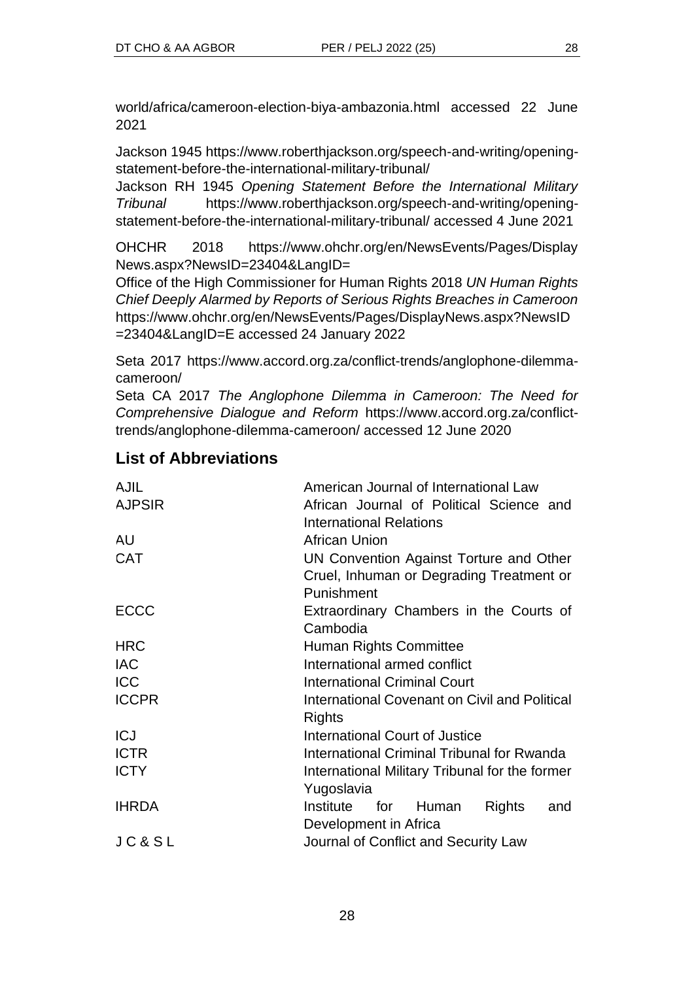world/africa/cameroon-election-biya-ambazonia.html accessed 22 June 2021

Jackson 1945 https://www.roberthjackson.org/speech-and-writing/openingstatement-before-the-international-military-tribunal/

Jackson RH 1945 *Opening Statement Before the International Military Tribunal* https://www.roberthjackson.org/speech-and-writing/openingstatement-before-the-international-military-tribunal/ accessed 4 June 2021

OHCHR 2018 https://www.ohchr.org/en/NewsEvents/Pages/Display News.aspx?NewsID=23404&LangID=

Office of the High Commissioner for Human Rights 2018 *UN Human Rights Chief Deeply Alarmed by Reports of Serious Rights Breaches in Cameroon* https://www.ohchr.org/en/NewsEvents/Pages/DisplayNews.aspx?NewsID =23404&LangID=E accessed 24 January 2022

Seta 2017 https://www.accord.org.za/conflict-trends/anglophone-dilemmacameroon/

Seta CA 2017 *The Anglophone Dilemma in Cameroon: The Need for Comprehensive Dialogue and Reform* https://www.accord.org.za/conflicttrends/anglophone-dilemma-cameroon/ accessed 12 June 2020

# **List of Abbreviations**

| <b>AJIL</b>   | American Journal of International Law                                                             |
|---------------|---------------------------------------------------------------------------------------------------|
| <b>AJPSIR</b> | African Journal of Political Science and<br><b>International Relations</b>                        |
| AU            | <b>African Union</b>                                                                              |
| <b>CAT</b>    | UN Convention Against Torture and Other<br>Cruel, Inhuman or Degrading Treatment or<br>Punishment |
| <b>ECCC</b>   | Extraordinary Chambers in the Courts of<br>Cambodia                                               |
| <b>HRC</b>    | Human Rights Committee                                                                            |
| <b>IAC</b>    | International armed conflict                                                                      |
| <b>ICC</b>    | <b>International Criminal Court</b>                                                               |
| <b>ICCPR</b>  | International Covenant on Civil and Political<br>Rights                                           |
| <b>ICJ</b>    | <b>International Court of Justice</b>                                                             |
| <b>ICTR</b>   | International Criminal Tribunal for Rwanda                                                        |
| <b>ICTY</b>   | International Military Tribunal for the former<br>Yugoslavia                                      |
| <b>IHRDA</b>  | Institute<br><b>Rights</b><br>for Human<br>and<br>Development in Africa                           |
| JC&SL         | Journal of Conflict and Security Law                                                              |